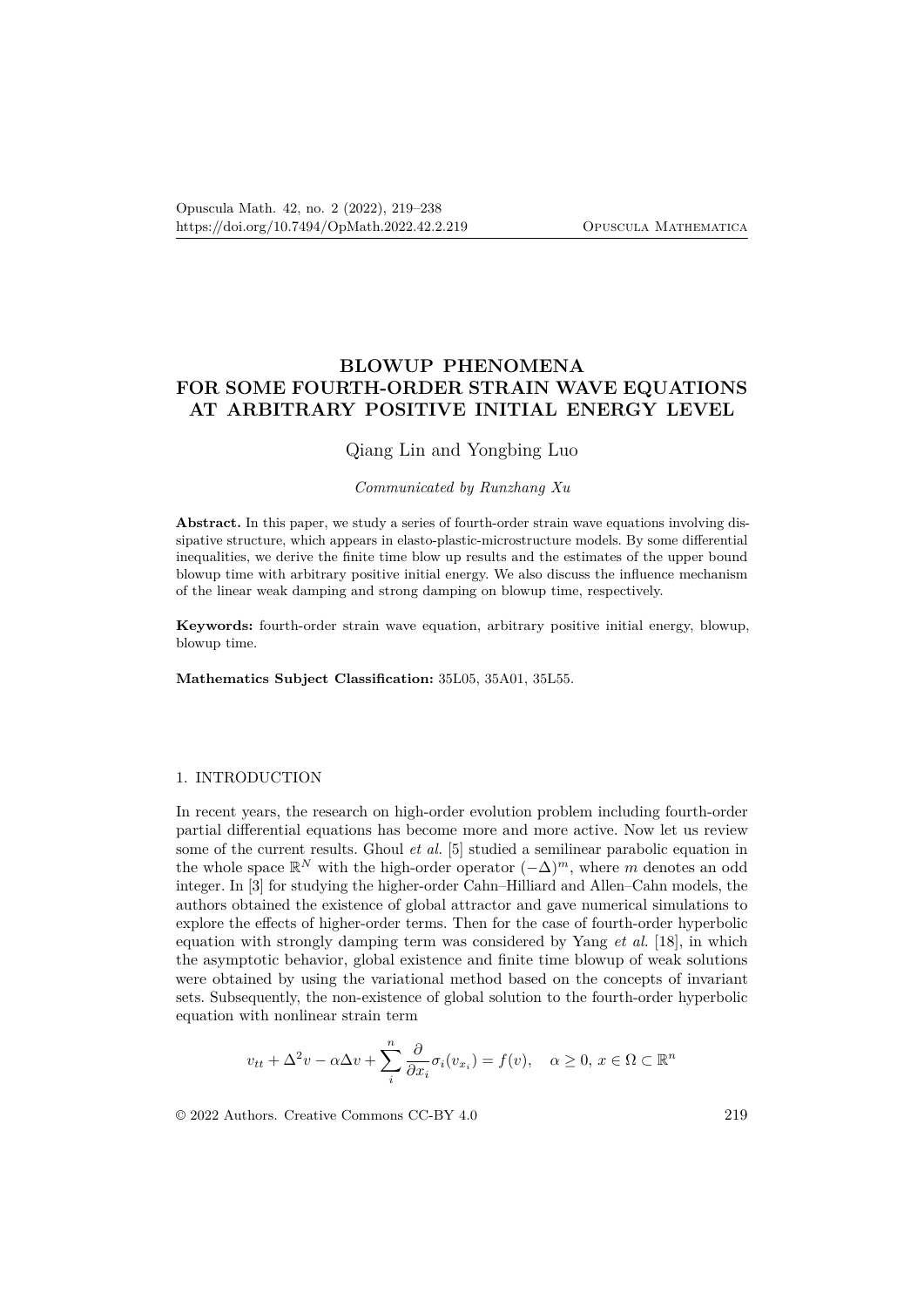# **BLOWUP PHENOMENA FOR SOME FOURTH-ORDER STRAIN WAVE EQUATIONS AT ARBITRARY POSITIVE INITIAL ENERGY LEVEL**

# Qiang Lin and Yongbing Luo

#### *Communicated by Runzhang Xu*

**Abstract.** In this paper, we study a series of fourth-order strain wave equations involving dissipative structure, which appears in elasto-plastic-microstructure models. By some differential inequalities, we derive the finite time blow up results and the estimates of the upper bound blowup time with arbitrary positive initial energy. We also discuss the influence mechanism of the linear weak damping and strong damping on blowup time, respectively.

**Keywords:** fourth-order strain wave equation, arbitrary positive initial energy, blowup, blowup time.

**Mathematics Subject Classification:** 35L05, 35A01, 35L55.

#### 1. INTRODUCTION

In recent years, the research on high-order evolution problem including fourth-order partial differential equations has become more and more active. Now let us review some of the current results. Ghoul *et al.* [5] studied a semilinear parabolic equation in the whole space  $\mathbb{R}^N$  with the high-order operator  $(-\Delta)^m$ , where *m* denotes an odd integer. In [3] for studying the higher-order Cahn–Hilliard and Allen–Cahn models, the authors obtained the existence of global attractor and gave numerical simulations to explore the effects of higher-order terms. Then for the case of fourth-order hyperbolic equation with strongly damping term was considered by Yang *et al.* [18], in which the asymptotic behavior, global existence and finite time blowup of weak solutions were obtained by using the variational method based on the concepts of invariant sets. Subsequently, the non-existence of global solution to the fourth-order hyperbolic equation with nonlinear strain term

$$
v_{tt} + \Delta^2 v - \alpha \Delta v + \sum_{i}^{n} \frac{\partial}{\partial x_i} \sigma_i(v_{x_i}) = f(v), \quad \alpha \ge 0, x \in \Omega \subset \mathbb{R}^n
$$

© 2022 Authors. Creative Commons CC-BY 4.0 219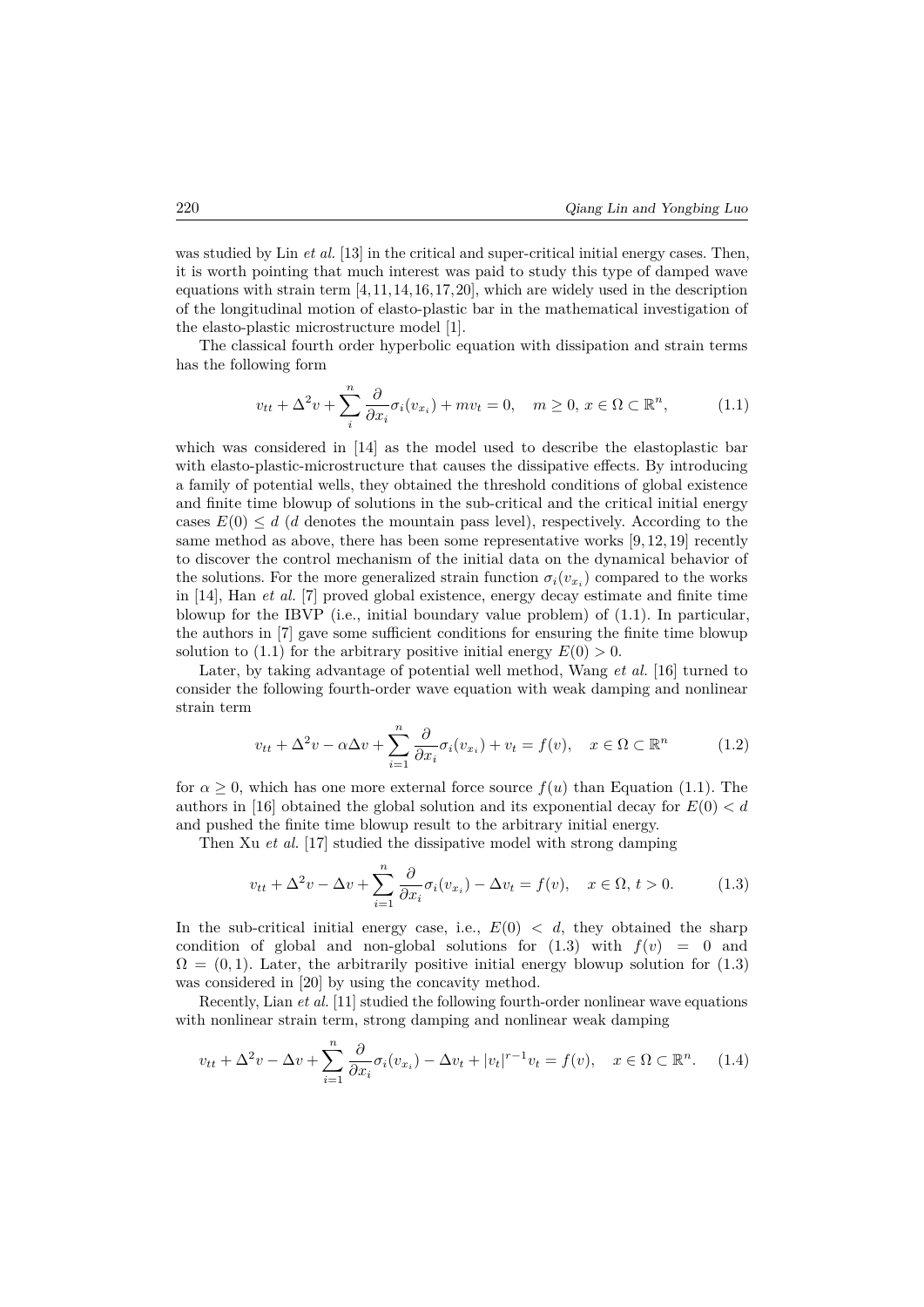was studied by Lin *et al.* [13] in the critical and super-critical initial energy cases. Then, it is worth pointing that much interest was paid to study this type of damped wave equations with strain term  $[4,11,14,16,17,20]$ , which are widely used in the description of the longitudinal motion of elasto-plastic bar in the mathematical investigation of the elasto-plastic microstructure model [1].

The classical fourth order hyperbolic equation with dissipation and strain terms has the following form

$$
v_{tt} + \Delta^2 v + \sum_{i}^{n} \frac{\partial}{\partial x_i} \sigma_i(v_{x_i}) + m v_t = 0, \quad m \ge 0, x \in \Omega \subset \mathbb{R}^n,
$$
 (1.1)

which was considered in [14] as the model used to describe the elastoplastic bar with elasto-plastic-microstructure that causes the dissipative effects. By introducing a family of potential wells, they obtained the threshold conditions of global existence and finite time blowup of solutions in the sub-critical and the critical initial energy cases  $E(0) \leq d$  (*d* denotes the mountain pass level), respectively. According to the same method as above, there has been some representative works  $[9, 12, 19]$  recently to discover the control mechanism of the initial data on the dynamical behavior of the solutions. For the more generalized strain function  $\sigma_i(v_{x_i})$  compared to the works in [14], Han *et al.* [7] proved global existence, energy decay estimate and finite time blowup for the IBVP (i.e., initial boundary value problem) of (1.1). In particular, the authors in [7] gave some sufficient conditions for ensuring the finite time blowup solution to (1.1) for the arbitrary positive initial energy  $E(0) > 0$ .

Later, by taking advantage of potential well method, Wang *et al.* [16] turned to consider the following fourth-order wave equation with weak damping and nonlinear strain term

$$
v_{tt} + \Delta^2 v - \alpha \Delta v + \sum_{i=1}^n \frac{\partial}{\partial x_i} \sigma_i(v_{x_i}) + v_t = f(v), \quad x \in \Omega \subset \mathbb{R}^n \tag{1.2}
$$

for  $\alpha \geq 0$ , which has one more external force source  $f(u)$  than Equation (1.1). The authors in [16] obtained the global solution and its exponential decay for  $E(0) < d$ and pushed the finite time blowup result to the arbitrary initial energy.

Then Xu *et al.* [17] studied the dissipative model with strong damping

$$
v_{tt} + \Delta^2 v - \Delta v + \sum_{i=1}^n \frac{\partial}{\partial x_i} \sigma_i(v_{x_i}) - \Delta v_t = f(v), \quad x \in \Omega, t > 0.
$$
 (1.3)

In the sub-critical initial energy case, i.e.,  $E(0) < d$ , they obtained the sharp condition of global and non-global solutions for  $(1.3)$  with  $f(v) = 0$  and  $\Omega = (0, 1)$ . Later, the arbitrarily positive initial energy blowup solution for  $(1.3)$ was considered in [20] by using the concavity method.

Recently, Lian *et al.* [11] studied the following fourth-order nonlinear wave equations with nonlinear strain term, strong damping and nonlinear weak damping

$$
v_{tt} + \Delta^2 v - \Delta v + \sum_{i=1}^n \frac{\partial}{\partial x_i} \sigma_i(v_{x_i}) - \Delta v_t + |v_t|^{r-1} v_t = f(v), \quad x \in \Omega \subset \mathbb{R}^n. \tag{1.4}
$$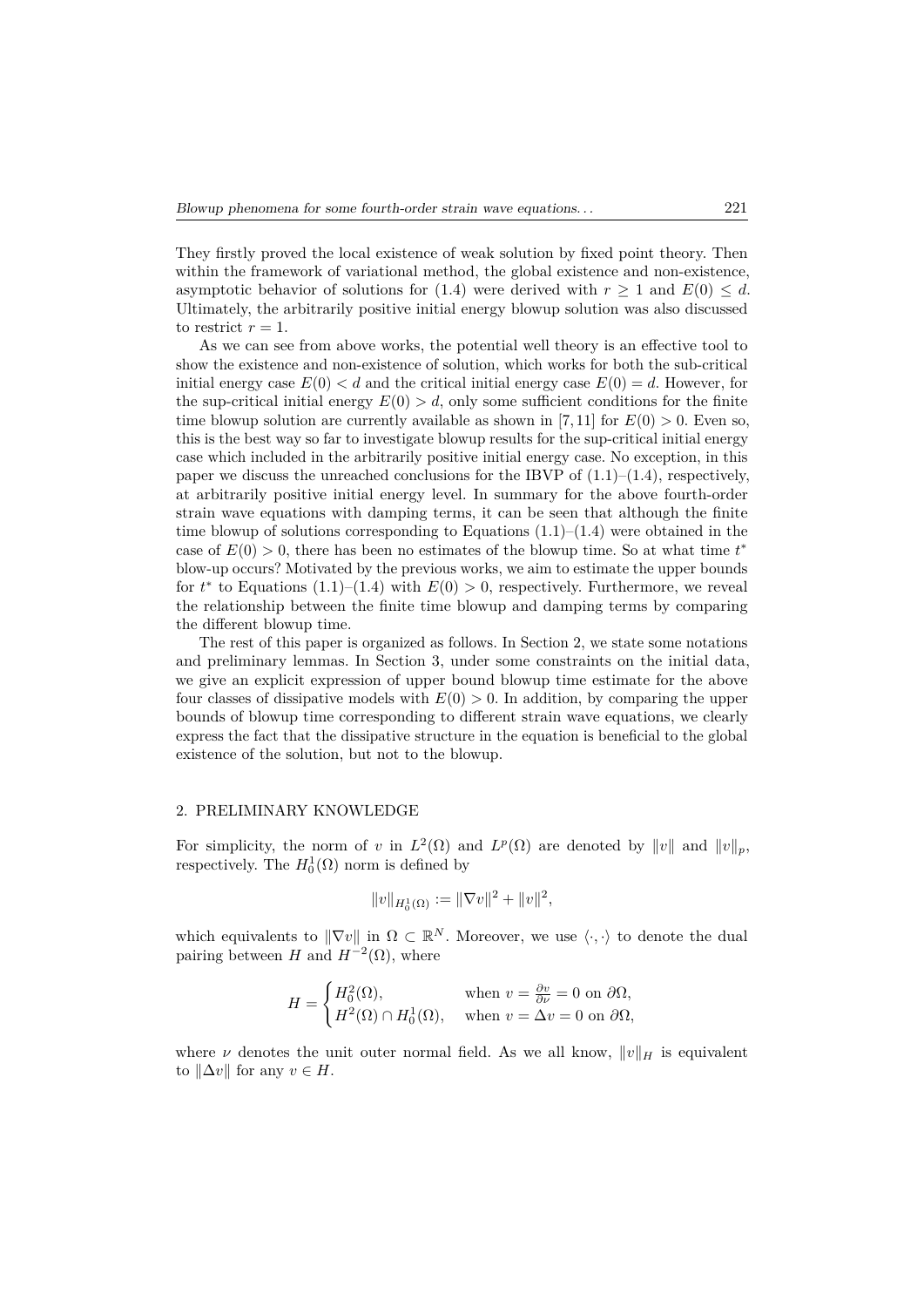They firstly proved the local existence of weak solution by fixed point theory. Then within the framework of variational method, the global existence and non-existence, asymptotic behavior of solutions for (1.4) were derived with  $r \geq 1$  and  $E(0) \leq d$ . Ultimately, the arbitrarily positive initial energy blowup solution was also discussed to restrict  $r = 1$ .

As we can see from above works, the potential well theory is an effective tool to show the existence and non-existence of solution, which works for both the sub-critical initial energy case  $E(0) < d$  and the critical initial energy case  $E(0) = d$ . However, for the sup-critical initial energy  $E(0) > d$ , only some sufficient conditions for the finite time blowup solution are currently available as shown in [7,11] for  $E(0) > 0$ . Even so, this is the best way so far to investigate blowup results for the sup-critical initial energy case which included in the arbitrarily positive initial energy case. No exception, in this paper we discuss the unreached conclusions for the IBVP of  $(1.1)$ – $(1.4)$ , respectively, at arbitrarily positive initial energy level. In summary for the above fourth-order strain wave equations with damping terms, it can be seen that although the finite time blowup of solutions corresponding to Equations  $(1.1)$ – $(1.4)$  were obtained in the case of  $E(0) > 0$ , there has been no estimates of the blowup time. So at what time  $t^*$ blow-up occurs? Motivated by the previous works, we aim to estimate the upper bounds for  $t^*$  to Equations (1.1)–(1.4) with  $E(0) > 0$ , respectively. Furthermore, we reveal the relationship between the finite time blowup and damping terms by comparing the different blowup time.

The rest of this paper is organized as follows. In Section 2, we state some notations and preliminary lemmas. In Section 3, under some constraints on the initial data, we give an explicit expression of upper bound blowup time estimate for the above four classes of dissipative models with  $E(0) > 0$ . In addition, by comparing the upper bounds of blowup time corresponding to different strain wave equations, we clearly express the fact that the dissipative structure in the equation is beneficial to the global existence of the solution, but not to the blowup.

#### 2. PRELIMINARY KNOWLEDGE

For simplicity, the norm of *v* in  $L^2(\Omega)$  and  $L^p(\Omega)$  are denoted by  $||v||$  and  $||v||_p$ , respectively. The  $H_0^1(\Omega)$  norm is defined by

$$
||v||_{H_0^1(\Omega)} := ||\nabla v||^2 + ||v||^2,
$$

which equivalents to  $\|\nabla v\|$  in  $\Omega \subset \mathbb{R}^N$ . Moreover, we use  $\langle \cdot, \cdot \rangle$  to denote the dual pairing between *H* and  $H^{-2}(\Omega)$ , where

$$
H = \begin{cases} H_0^2(\Omega), & \text{when } v = \frac{\partial v}{\partial \nu} = 0 \text{ on } \partial \Omega, \\ H^2(\Omega) \cap H_0^1(\Omega), & \text{when } v = \Delta v = 0 \text{ on } \partial \Omega, \end{cases}
$$

where *ν* denotes the unit outer normal field. As we all know,  $||v||_H$  is equivalent to  $||\Delta v||$  for any  $v \in H$ .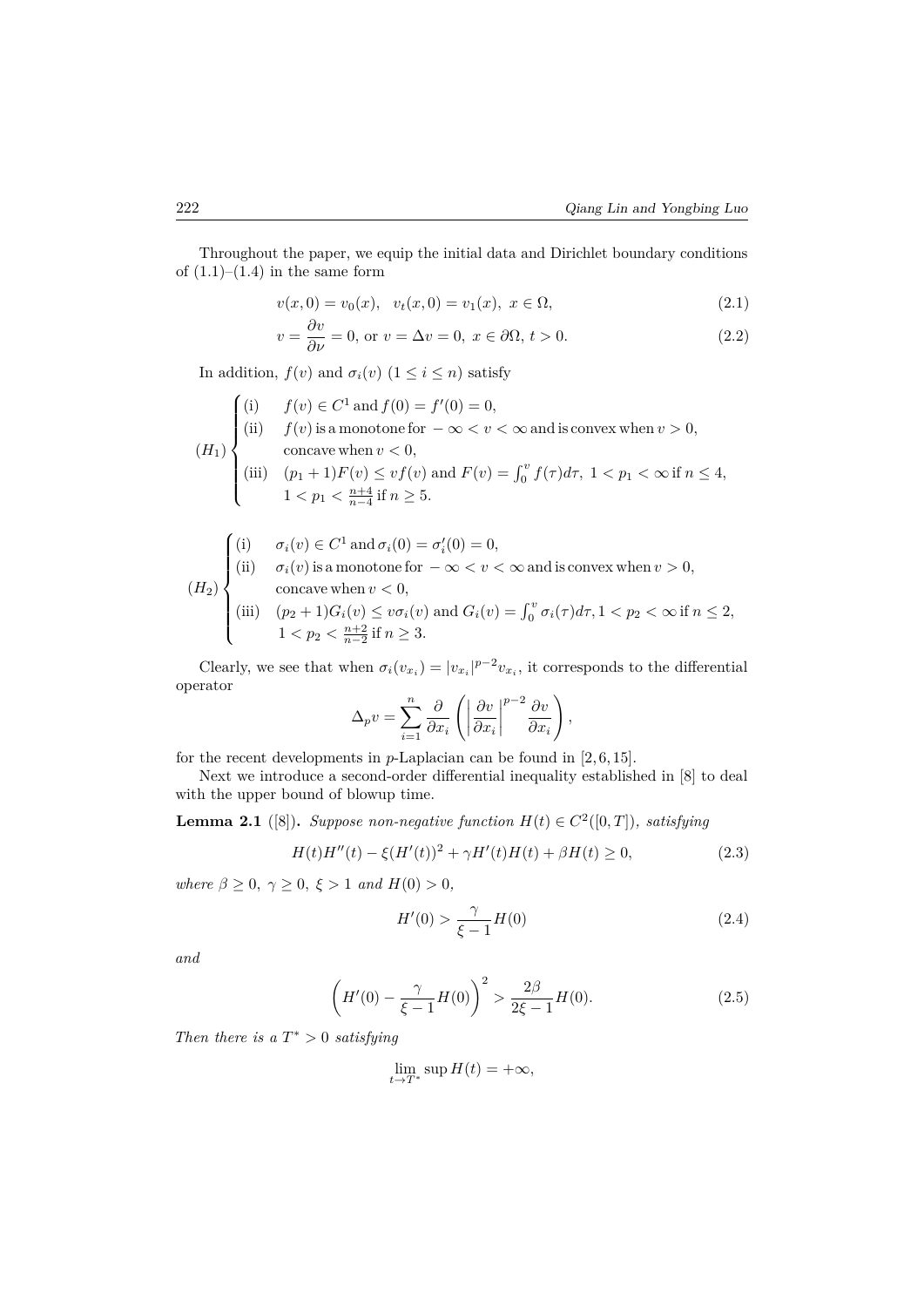Throughout the paper, we equip the initial data and Dirichlet boundary conditions of  $(1.1)–(1.4)$  in the same form

$$
v(x,0) = v_0(x), v_t(x,0) = v_1(x), x \in \Omega,
$$
\n(2.1)

$$
v = \frac{\partial v}{\partial \nu} = 0, \text{ or } v = \Delta v = 0, x \in \partial \Omega, t > 0.
$$
 (2.2)

In addition,  $f(v)$  and  $\sigma_i(v)$  ( $1 \leq i \leq n$ ) satisfy

$$
(H_1)\n\begin{cases}\n(i) & f(v) \in C^1 \text{ and } f(0) = f'(0) = 0, \\
(ii) & f(v) \text{ is a monotone for } -\infty < v < \infty \text{ and is convex when } v > 0, \\
&\text{concave when } v < 0, \\
(iii) & (p_1 + 1)F(v) \leq vf(v) \text{ and } F(v) = \int_0^v f(\tau) d\tau, \ 1 < p_1 < \infty \text{ if } n \leq 4, \\
1 < p_1 < \frac{n+4}{n-4} \text{ if } n \geq 5.\n\end{cases}
$$

$$
\int (i) \qquad \sigma_i(v) \in C^1 \text{ and } \sigma_i(0) = \sigma'_i(0) = 0,
$$

$$
(H_2)\n\begin{cases}\n\text{(i)} & \text{if } o_i(v) \in C \text{ and } o_i(v) = o_i; \\
\text{(ii)} & \text{if } \sigma_i(v) \text{ is a monotone for } -\infty < v < \infty \text{ and is convex when } v > 0, \\
\text{concave when } v < 0,\n\end{cases}
$$

(iii) 
$$
(p_2 + 1)G_i(v) \le v\sigma_i(v)
$$
 and  $G_i(v) = \int_0^v \sigma_i(\tau) d\tau$ ,  $1 < p_2 < \infty$  if  $n \le 2$ ,  $1 < p_2 < \frac{n+2}{n-2}$  if  $n \ge 3$ .

Clearly, we see that when  $\sigma_i(v_{x_i}) = |v_{x_i}|^{p-2}v_{x_i}$ , it corresponds to the differential operator

$$
\Delta_p v = \sum_{i=1}^n \frac{\partial}{\partial x_i} \left( \left| \frac{\partial v}{\partial x_i} \right|^{p-2} \frac{\partial v}{\partial x_i} \right),\,
$$

for the recent developments in *p*-Laplacian can be found in [2, 6, 15].

Next we introduce a second-order differential inequality established in [8] to deal with the upper bound of blowup time.

**Lemma 2.1** ([8]). *Suppose non-negative function*  $H(t) \in C^2([0,T])$ *, satisfying* 

$$
H(t)H''(t) - \xi (H'(t))^{2} + \gamma H'(t)H(t) + \beta H(t) \ge 0,
$$
\n(2.3)

*where*  $\beta \geq 0$ ,  $\gamma \geq 0$ ,  $\xi > 1$  *and*  $H(0) > 0$ ,

$$
H'(0) > \frac{\gamma}{\xi - 1} H(0)
$$
\n(2.4)

*and*

$$
\left(H'(0) - \frac{\gamma}{\xi - 1}H(0)\right)^2 > \frac{2\beta}{2\xi - 1}H(0). \tag{2.5}
$$

*Then there is a*  $T^* > 0$  *satisfying* 

$$
\lim_{t \to T^*} \sup H(t) = +\infty,
$$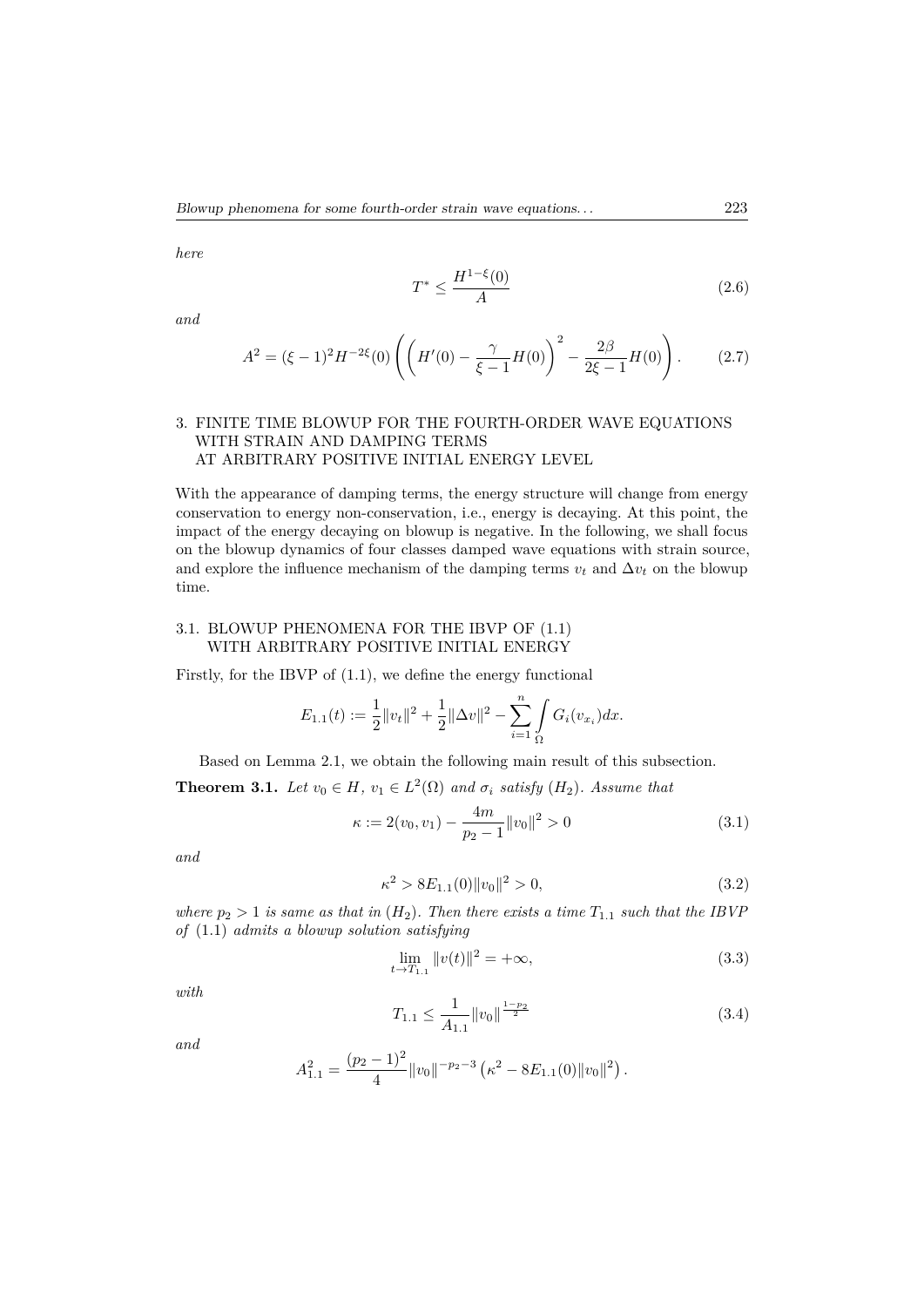*here*

$$
T^* \le \frac{H^{1-\xi}(0)}{A} \tag{2.6}
$$

*and*

$$
A^{2} = (\xi - 1)^{2} H^{-2\xi}(0) \left( \left( H'(0) - \frac{\gamma}{\xi - 1} H(0) \right)^{2} - \frac{2\beta}{2\xi - 1} H(0) \right). \tag{2.7}
$$

## 3. FINITE TIME BLOWUP FOR THE FOURTH-ORDER WAVE EQUATIONS WITH STRAIN AND DAMPING TERMS AT ARBITRARY POSITIVE INITIAL ENERGY LEVEL

With the appearance of damping terms, the energy structure will change from energy conservation to energy non-conservation, i.e., energy is decaying. At this point, the impact of the energy decaying on blowup is negative. In the following, we shall focus on the blowup dynamics of four classes damped wave equations with strain source, and explore the influence mechanism of the damping terms  $v_t$  and  $\Delta v_t$  on the blowup time.

## 3.1. BLOWUP PHENOMENA FOR THE IBVP OF (1.1) WITH ARBITRARY POSITIVE INITIAL ENERGY

Firstly, for the IBVP of (1.1), we define the energy functional

$$
E_{1.1}(t) := \frac{1}{2} ||v_t||^2 + \frac{1}{2} ||\Delta v||^2 - \sum_{i=1}^n \int_{\Omega} G_i(v_{x_i}) dx.
$$

Based on Lemma 2.1, we obtain the following main result of this subsection. **Theorem 3.1.** *Let*  $v_0 \in H$ *,*  $v_1 \in L^2(\Omega)$  *and*  $\sigma_i$  *satisfy*  $(H_2)$ *. Assume that* 

$$
\kappa := 2(v_0, v_1) - \frac{4m}{p_2 - 1} ||v_0||^2 > 0
$$
\n(3.1)

*and*

$$
\kappa^2 > 8E_{1.1}(0) \|v_0\|^2 > 0, \tag{3.2}
$$

*where*  $p_2 > 1$  *is same as that in*  $(H_2)$ *. Then there exists a time*  $T_{1,1}$  *such that the IBVP of* (1.1) *admits a blowup solution satisfying*

$$
\lim_{t \to T_{1,1}} \|v(t)\|^2 = +\infty,
$$
\n(3.3)

*with*

$$
T_{1.1} \le \frac{1}{A_{1.1}} \|v_0\|_{\frac{1-p_2}{2}} \tag{3.4}
$$

*and*

$$
A_{1.1}^2 = \frac{(p_2 - 1)^2}{4} ||v_0||^{-p_2 - 3} (\kappa^2 - 8E_{1.1}(0) ||v_0||^2).
$$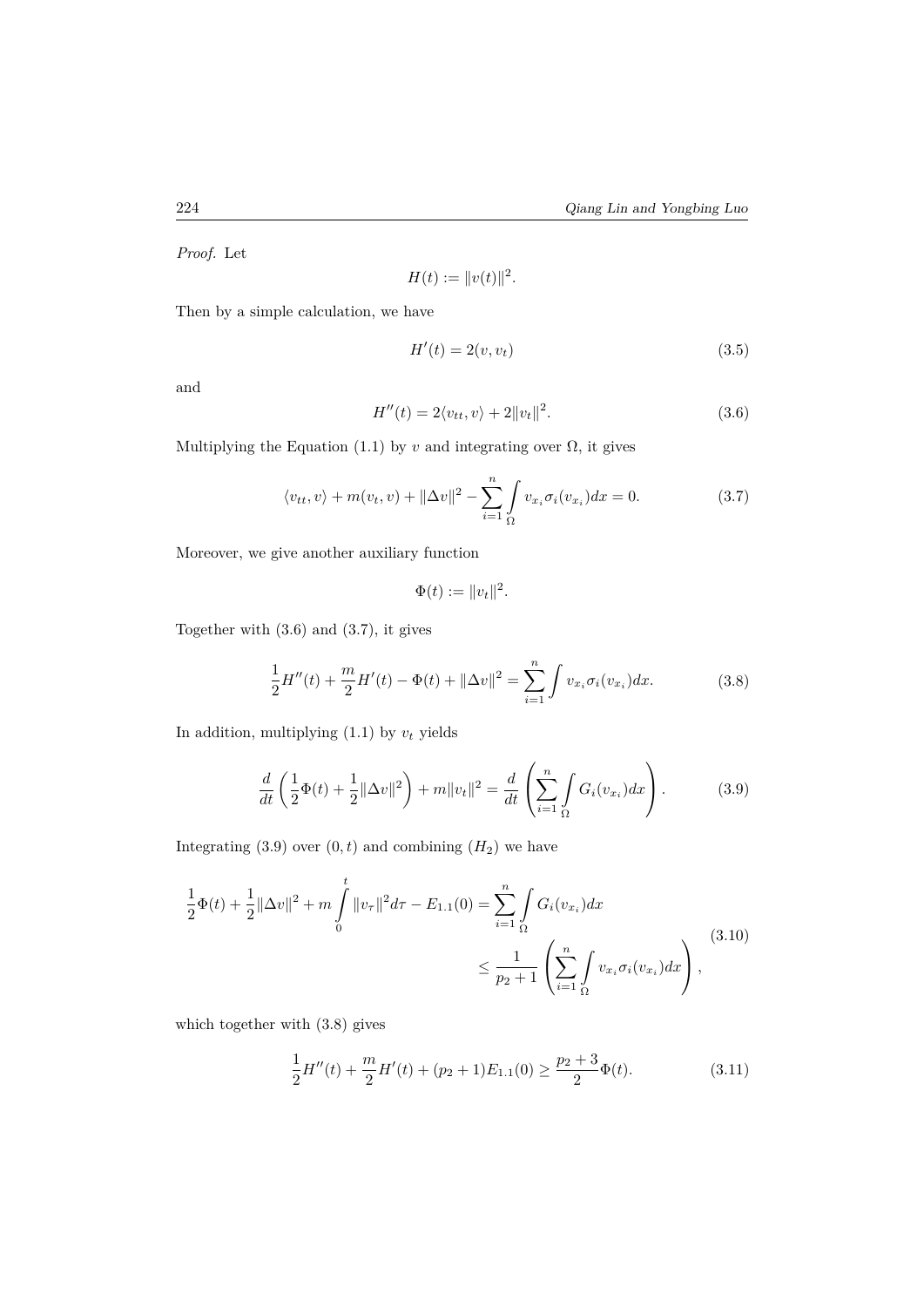*Proof.* Let

$$
H(t) := ||v(t)||^2.
$$

Then by a simple calculation, we have

$$
H'(t) = 2(v, v_t) \tag{3.5}
$$

and

$$
H''(t) = 2\langle v_{tt}, v \rangle + 2||v_t||^2.
$$
 (3.6)

Multiplying the Equation (1.1) by  $v$  and integrating over  $\Omega$ , it gives

$$
\langle v_{tt}, v \rangle + m(v_t, v) + ||\Delta v||^2 - \sum_{i=1}^n \int_{\Omega} v_{x_i} \sigma_i(v_{x_i}) dx = 0.
$$
 (3.7)

Moreover, we give another auxiliary function

$$
\Phi(t) := ||v_t||^2.
$$

Together with (3.6) and (3.7), it gives

$$
\frac{1}{2}H''(t) + \frac{m}{2}H'(t) - \Phi(t) + \|\Delta v\|^2 = \sum_{i=1}^n \int v_{x_i} \sigma_i(v_{x_i}) dx.
$$
 (3.8)

In addition, multiplying  $(1.1)$  by  $v_t$  yields

$$
\frac{d}{dt}\left(\frac{1}{2}\Phi(t) + \frac{1}{2}\|\Delta v\|^2\right) + m\|v_t\|^2 = \frac{d}{dt}\left(\sum_{i=1}^n \int_{\Omega} G_i(v_{x_i})dx\right). \tag{3.9}
$$

Integrating  $(3.9)$  over  $(0, t)$  and combining  $(H_2)$  we have

$$
\frac{1}{2}\Phi(t) + \frac{1}{2} \|\Delta v\|^2 + m \int_0^t \|v_\tau\|^2 d\tau - E_{1,1}(0) = \sum_{i=1}^n \int_{\Omega} G_i(v_{x_i}) dx
$$
\n
$$
\leq \frac{1}{p_2 + 1} \left( \sum_{i=1}^n \int_{\Omega} v_{x_i} \sigma_i(v_{x_i}) dx \right),
$$
\n(3.10)

which together with (3.8) gives

$$
\frac{1}{2}H''(t) + \frac{m}{2}H'(t) + (p_2 + 1)E_{1,1}(0) \ge \frac{p_2 + 3}{2}\Phi(t).
$$
\n(3.11)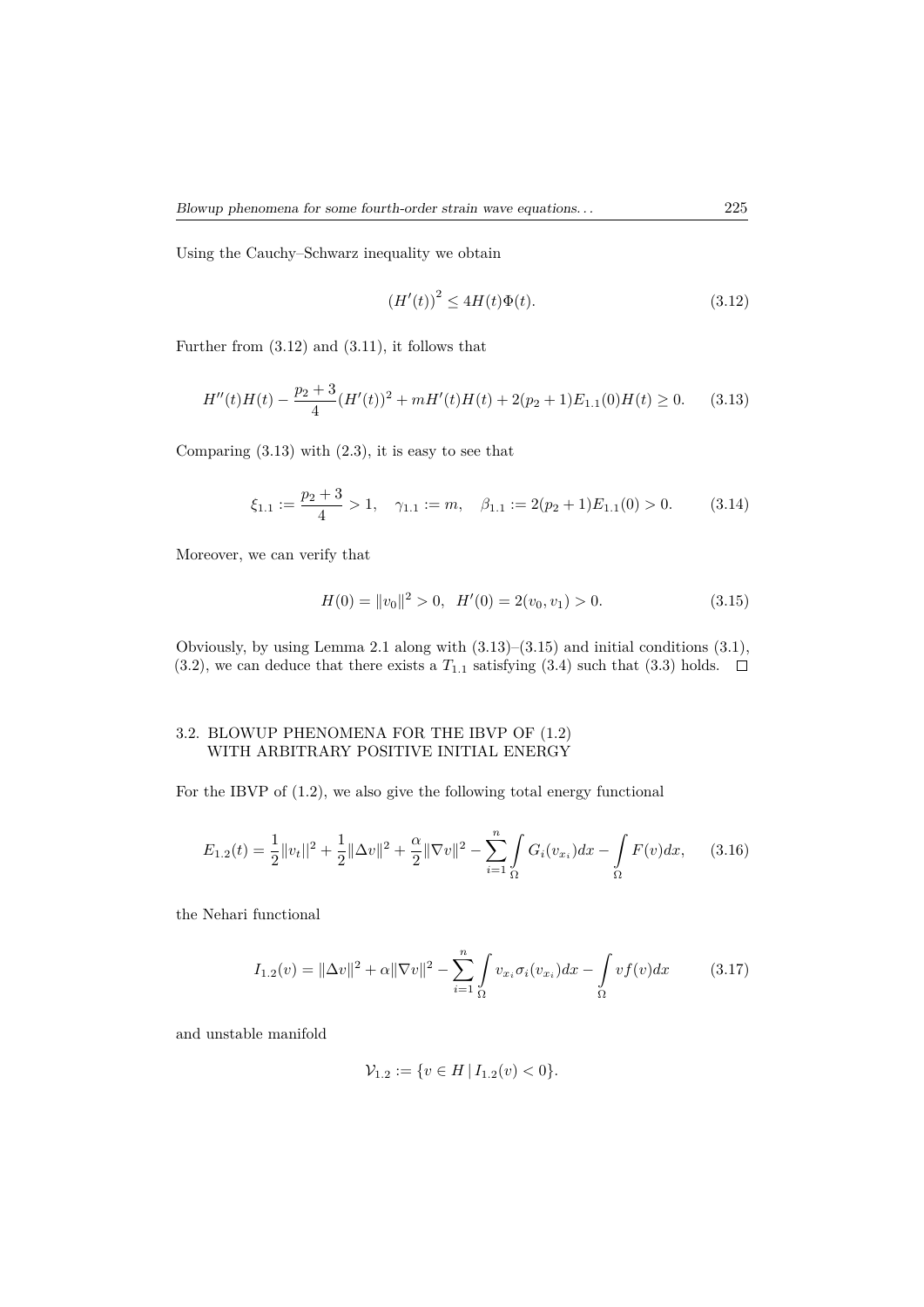Using the Cauchy–Schwarz inequality we obtain

$$
(H'(t))^{2} \le 4H(t)\Phi(t).
$$
\n(3.12)

Further from (3.12) and (3.11), it follows that

$$
H''(t)H(t) - \frac{p_2 + 3}{4}(H'(t))^2 + mH'(t)H(t) + 2(p_2 + 1)E_{1,1}(0)H(t) \ge 0.
$$
 (3.13)

Comparing  $(3.13)$  with  $(2.3)$ , it is easy to see that

$$
\xi_{1.1} := \frac{p_2 + 3}{4} > 1, \quad \gamma_{1.1} := m, \quad \beta_{1.1} := 2(p_2 + 1)E_{1.1}(0) > 0. \tag{3.14}
$$

Moreover, we can verify that

$$
H(0) = ||v_0||^2 > 0, \quad H'(0) = 2(v_0, v_1) > 0.
$$
\n(3.15)

Obviously, by using Lemma 2.1 along with (3.13)–(3.15) and initial conditions (3.1), (3.2), we can deduce that there exists a  $T_{1,1}$  satisfying (3.4) such that (3.3) holds.  $\Box$ 

## 3.2. BLOWUP PHENOMENA FOR THE IBVP OF (1.2) WITH ARBITRARY POSITIVE INITIAL ENERGY

For the IBVP of (1.2), we also give the following total energy functional

$$
E_{1.2}(t) = \frac{1}{2}||v_t||^2 + \frac{1}{2}||\Delta v||^2 + \frac{\alpha}{2}||\nabla v||^2 - \sum_{i=1}^n \int_{\Omega} G_i(v_{x_i})dx - \int_{\Omega} F(v)dx, \quad (3.16)
$$

the Nehari functional

$$
I_{1.2}(v) = \|\Delta v\|^2 + \alpha \|\nabla v\|^2 - \sum_{i=1}^n \int_{\Omega} v_{xi} \sigma_i(v_{xi}) dx - \int_{\Omega} v f(v) dx \qquad (3.17)
$$

and unstable manifold

$$
\mathcal{V}_{1.2} := \{ v \in H \mid I_{1.2}(v) < 0 \}.
$$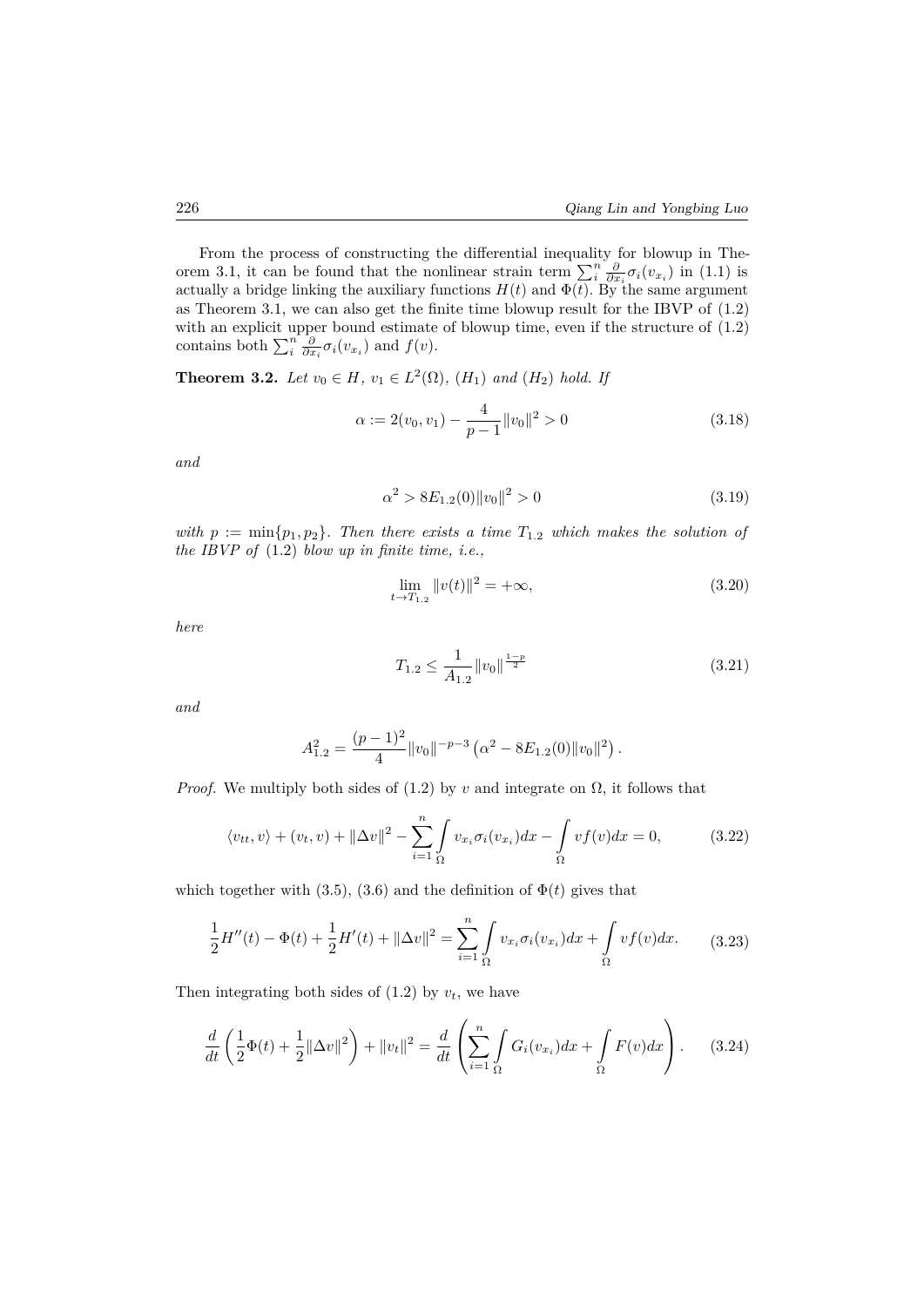From the process of constructing the differential inequality for blowup in Theorem 3.1, it can be found that the nonlinear strain term  $\sum_{i}^{n} \frac{\partial}{\partial x_i} \sigma_i(v_{x_i})$  in (1.1) is actually a bridge linking the auxiliary functions  $H(t)$  and  $\Phi(\overline{t})$ . By the same argument as Theorem 3.1, we can also get the finite time blowup result for the IBVP of (1.2) with an explicit upper bound estimate of blowup time, even if the structure of (1.2) contains both  $\sum_{i}^{n} \frac{\partial}{\partial x_i} \sigma_i(v_{x_i})$  and  $f(v)$ .

**Theorem 3.2.** *Let*  $v_0 \in H$ *,*  $v_1 \in L^2(\Omega)$ *,*  $(H_1)$  *and*  $(H_2)$  *hold. If* 

$$
\alpha := 2(v_0, v_1) - \frac{4}{p-1} ||v_0||^2 > 0
$$
\n(3.18)

*and*

$$
\alpha^2 > 8E_{1.2}(0) \|v_0\|^2 > 0 \tag{3.19}
$$

*with*  $p := \min\{p_1, p_2\}$ . Then there exists a time  $T_{1,2}$  which makes the solution of *the IBVP of* (1.2) *blow up in finite time, i.e.,*

$$
\lim_{t \to T_{1,2}} \|v(t)\|^2 = +\infty,
$$
\n(3.20)

*here*

$$
T_{1.2} \le \frac{1}{A_{1.2}} \|v_0\|_{\frac{1-p}{2}} \tag{3.21}
$$

*and*

$$
A_{1.2}^2 = \frac{(p-1)^2}{4} ||v_0||^{-p-3} (\alpha^2 - 8E_{1.2}(0) ||v_0||^2).
$$

*Proof.* We multiply both sides of  $(1.2)$  by *v* and integrate on  $\Omega$ , it follows that

$$
\langle v_{tt}, v \rangle + (v_t, v) + ||\Delta v||^2 - \sum_{i=1}^n \int_{\Omega} v_{x_i} \sigma_i(v_{x_i}) dx - \int_{\Omega} v f(v) dx = 0, \qquad (3.22)
$$

which together with (3.5), (3.6) and the definition of  $\Phi(t)$  gives that

$$
\frac{1}{2}H''(t) - \Phi(t) + \frac{1}{2}H'(t) + ||\Delta v||^2 = \sum_{i=1}^n \int_{\Omega} v_{x_i} \sigma_i(v_{x_i}) dx + \int_{\Omega} v f(v) dx.
$$
 (3.23)

Then integrating both sides of  $(1.2)$  by  $v_t$ , we have

$$
\frac{d}{dt}\left(\frac{1}{2}\Phi(t) + \frac{1}{2}||\Delta v||^2\right) + ||v_t||^2 = \frac{d}{dt}\left(\sum_{i=1}^n \int_{\Omega} G_i(v_{x_i})dx + \int_{\Omega} F(v)dx\right). \tag{3.24}
$$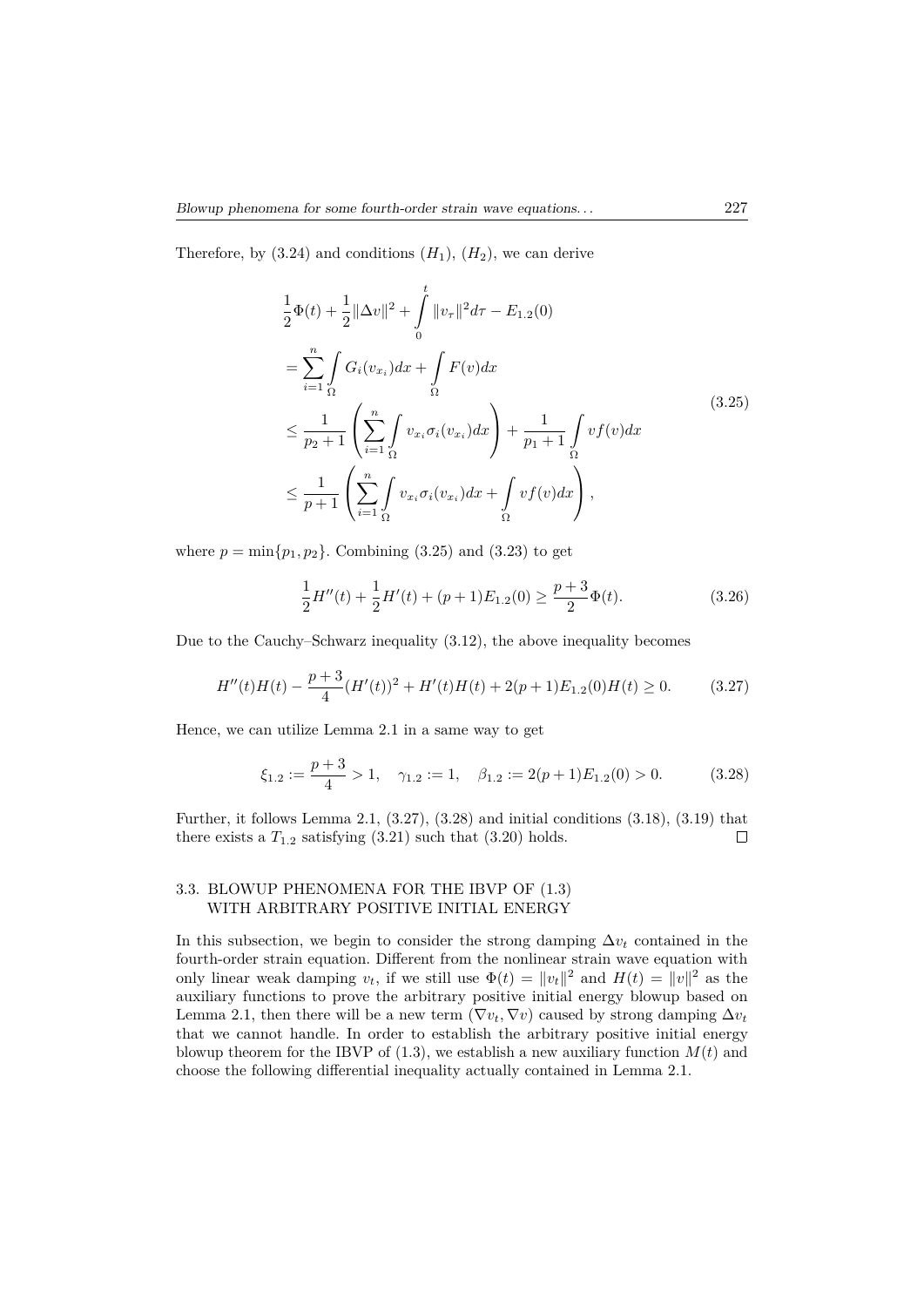Therefore, by  $(3.24)$  and conditions  $(H_1)$ ,  $(H_2)$ , we can derive

$$
\frac{1}{2}\Phi(t) + \frac{1}{2}||\Delta v||^{2} + \int_{0}^{t} ||v_{\tau}||^{2} d\tau - E_{1,2}(0)
$$
\n
$$
= \sum_{i=1}^{n} \int_{\Omega} G_{i}(v_{x_{i}}) dx + \int_{\Omega} F(v) dx
$$
\n
$$
\leq \frac{1}{p_{2}+1} \left( \sum_{i=1}^{n} \int_{\Omega} v_{x_{i}} \sigma_{i}(v_{x_{i}}) dx \right) + \frac{1}{p_{1}+1} \int_{\Omega} vf(v) dx
$$
\n
$$
\leq \frac{1}{p+1} \left( \sum_{i=1}^{n} \int_{\Omega} v_{x_{i}} \sigma_{i}(v_{x_{i}}) dx + \int_{\Omega} vf(v) dx \right),
$$
\n(3.25)

where  $p = \min\{p_1, p_2\}$ . Combining (3.25) and (3.23) to get

$$
\frac{1}{2}H''(t) + \frac{1}{2}H'(t) + (p+1)E_{1,2}(0) \ge \frac{p+3}{2}\Phi(t).
$$
\n(3.26)

Due to the Cauchy–Schwarz inequality (3.12), the above inequality becomes

$$
H''(t)H(t) - \frac{p+3}{4}(H'(t))^2 + H'(t)H(t) + 2(p+1)E_{1,2}(0)H(t) \ge 0.
$$
 (3.27)

Hence, we can utilize Lemma 2.1 in a same way to get

$$
\xi_{1,2} := \frac{p+3}{4} > 1, \quad \gamma_{1,2} := 1, \quad \beta_{1,2} := 2(p+1)E_{1,2}(0) > 0. \tag{3.28}
$$

Further, it follows Lemma 2.1,  $(3.27), (3.28)$  and initial conditions  $(3.18), (3.19)$  that there exists a  $T_{1,2}$  satisfying  $(3.21)$  such that  $(3.20)$  holds.  $\Box$ 

### 3.3. BLOWUP PHENOMENA FOR THE IBVP OF (1.3) WITH ARBITRARY POSITIVE INITIAL ENERGY

In this subsection, we begin to consider the strong damping  $\Delta v_t$  contained in the fourth-order strain equation. Different from the nonlinear strain wave equation with only linear weak damping  $v_t$ , if we still use  $\Phi(t) = ||v_t||^2$  and  $H(t) = ||v||^2$  as the auxiliary functions to prove the arbitrary positive initial energy blowup based on Lemma 2.1, then there will be a new term ( $\nabla v_t$ ,  $\nabla v$ ) caused by strong damping  $\Delta v_t$ that we cannot handle. In order to establish the arbitrary positive initial energy blowup theorem for the IBVP of  $(1.3)$ , we establish a new auxiliary function  $M(t)$  and choose the following differential inequality actually contained in Lemma 2.1.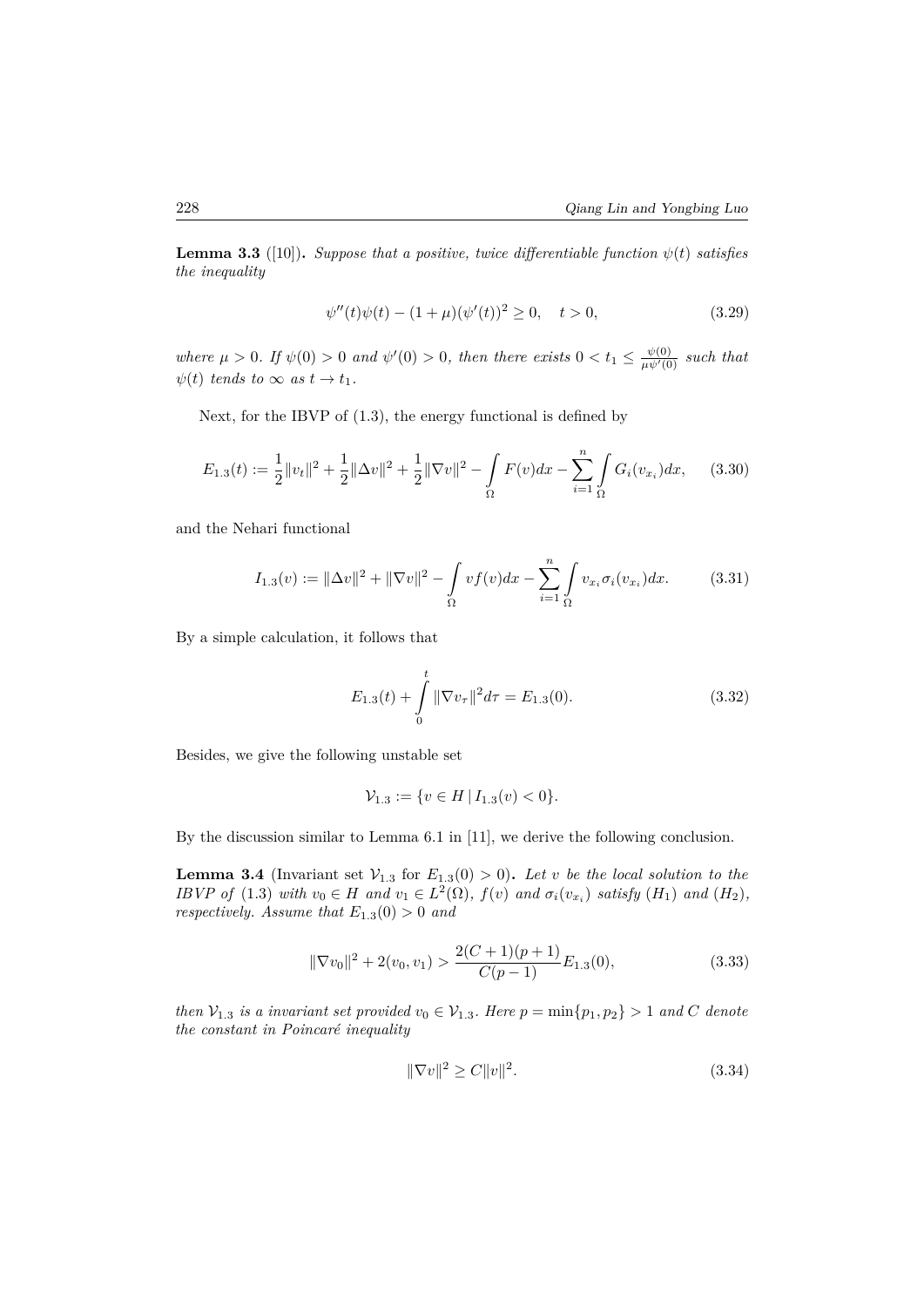**Lemma 3.3** ([10]). *Suppose that a positive, twice differentiable function*  $\psi(t)$  *satisfies the inequality*

$$
\psi''(t)\psi(t) - (1+\mu)(\psi'(t))^2 \ge 0, \quad t > 0,
$$
\n(3.29)

*where*  $\mu > 0$ *. If*  $\psi(0) > 0$  *and*  $\psi'(0) > 0$ *, then there exists*  $0 < t_1 \leq \frac{\psi(0)}{\mu \psi'(0)}$  *such that*  $\psi(t)$  *tends to*  $\infty$  *as*  $t \to t_1$ *.* 

Next, for the IBVP of (1.3), the energy functional is defined by

$$
E_{1.3}(t) := \frac{1}{2} ||v_t||^2 + \frac{1}{2} ||\Delta v||^2 + \frac{1}{2} ||\nabla v||^2 - \int_{\Omega} F(v) dx - \sum_{i=1}^{n} \int_{\Omega} G_i(v_{x_i}) dx, \quad (3.30)
$$

and the Nehari functional

$$
I_{1.3}(v) := \|\Delta v\|^2 + \|\nabla v\|^2 - \int_{\Omega} v f(v) dx - \sum_{i=1}^{n} \int_{\Omega} v_{x_i} \sigma_i(v_{x_i}) dx.
$$
 (3.31)

By a simple calculation, it follows that

$$
E_{1.3}(t) + \int_{0}^{t} \|\nabla v_{\tau}\|^{2} d\tau = E_{1.3}(0). \qquad (3.32)
$$

Besides, we give the following unstable set

$$
\mathcal{V}_{1.3} := \{ v \in H \, | \, I_{1.3}(v) < 0 \}.
$$

By the discussion similar to Lemma 6.1 in [11], we derive the following conclusion.

**Lemma 3.4** (Invariant set  $V_{1,3}$  for  $E_{1,3}(0) > 0$ ). Let *v* be the local solution to the IBVP of (1.3) with  $v_0 \in H$  and  $v_1 \in L^2(\Omega)$ ,  $f(v)$  and  $\sigma_i(v_{x_i})$  satisfy  $(H_1)$  and  $(H_2)$ , *respectively. Assume that*  $E_{1,3}(0) > 0$  *and* 

$$
\|\nabla v_0\|^2 + 2(v_0, v_1) > \frac{2(C+1)(p+1)}{C(p-1)} E_{1.3}(0),\tag{3.33}
$$

*then*  $V_{1,3}$  *is a invariant set provided*  $v_0 \in V_{1,3}$ *. Here*  $p = \min\{p_1, p_2\} > 1$  *and C denote the constant in Poincaré inequality*

$$
\|\nabla v\|^2 \ge C\|v\|^2. \tag{3.34}
$$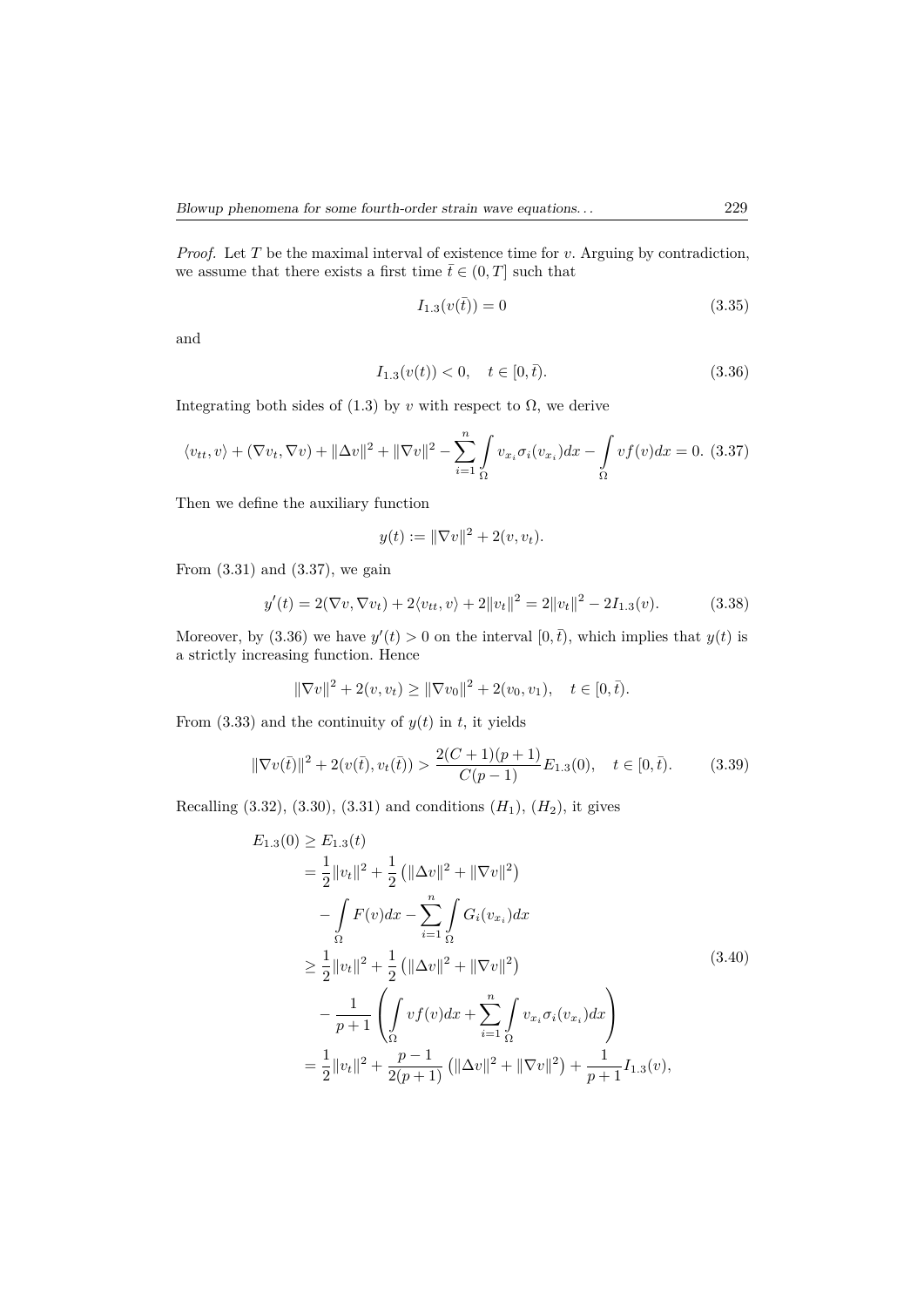*Proof.* Let *T* be the maximal interval of existence time for *v*. Arguing by contradiction, we assume that there exists a first time  $\bar{t} \in (0, T]$  such that

$$
I_{1.3}(v(\bar{t})) = 0 \tag{3.35}
$$

and

$$
I_{1.3}(v(t)) < 0, \quad t \in [0, \bar{t}).\tag{3.36}
$$

Integrating both sides of  $(1.3)$  by *v* with respect to  $\Omega$ , we derive

$$
\langle v_{tt}, v \rangle + (\nabla v_t, \nabla v) + ||\Delta v||^2 + ||\nabla v||^2 - \sum_{i=1}^n \int_{\Omega} v_{x_i} \sigma_i(v_{x_i}) dx - \int_{\Omega} v f(v) dx = 0.
$$
 (3.37)

Then we define the auxiliary function

$$
y(t) := \|\nabla v\|^2 + 2(v, v_t).
$$

From (3.31) and (3.37), we gain

$$
y'(t) = 2(\nabla v, \nabla v_t) + 2\langle v_{tt}, v \rangle + 2\|v_t\|^2 = 2\|v_t\|^2 - 2I_{1,3}(v). \tag{3.38}
$$

Moreover, by (3.36) we have  $y'(t) > 0$  on the interval  $[0, \bar{t})$ , which implies that  $y(t)$  is a strictly increasing function. Hence

$$
\|\nabla v\|^2 + 2(v, v_t) \ge \|\nabla v_0\|^2 + 2(v_0, v_1), \quad t \in [0, \bar{t}).
$$

From  $(3.33)$  and the continuity of  $y(t)$  in  $t$ , it yields

$$
\|\nabla v(\bar{t})\|^2 + 2(v(\bar{t}), v_t(\bar{t})) > \frac{2(C+1)(p+1)}{C(p-1)} E_{1.3}(0), \quad t \in [0, \bar{t}).
$$
 (3.39)

Recalling  $(3.32)$ ,  $(3.30)$ ,  $(3.31)$  and conditions  $(H_1)$ ,  $(H_2)$ , it gives

$$
E_{1.3}(0) \ge E_{1.3}(t)
$$
  
\n
$$
= \frac{1}{2} ||v_t||^2 + \frac{1}{2} (||\Delta v||^2 + ||\nabla v||^2)
$$
  
\n
$$
- \int_{\Omega} F(v) dx - \sum_{i=1}^n \int_{\Omega} G_i(v_{x_i}) dx
$$
  
\n
$$
\ge \frac{1}{2} ||v_t||^2 + \frac{1}{2} (||\Delta v||^2 + ||\nabla v||^2)
$$
  
\n
$$
- \frac{1}{p+1} \left( \int_{\Omega} v f(v) dx + \sum_{i=1}^n \int_{\Omega} v_{x_i} \sigma_i(v_{x_i}) dx \right)
$$
  
\n
$$
= \frac{1}{2} ||v_t||^2 + \frac{p-1}{2(p+1)} (||\Delta v||^2 + ||\nabla v||^2) + \frac{1}{p+1} I_{1.3}(v),
$$
 (3.40)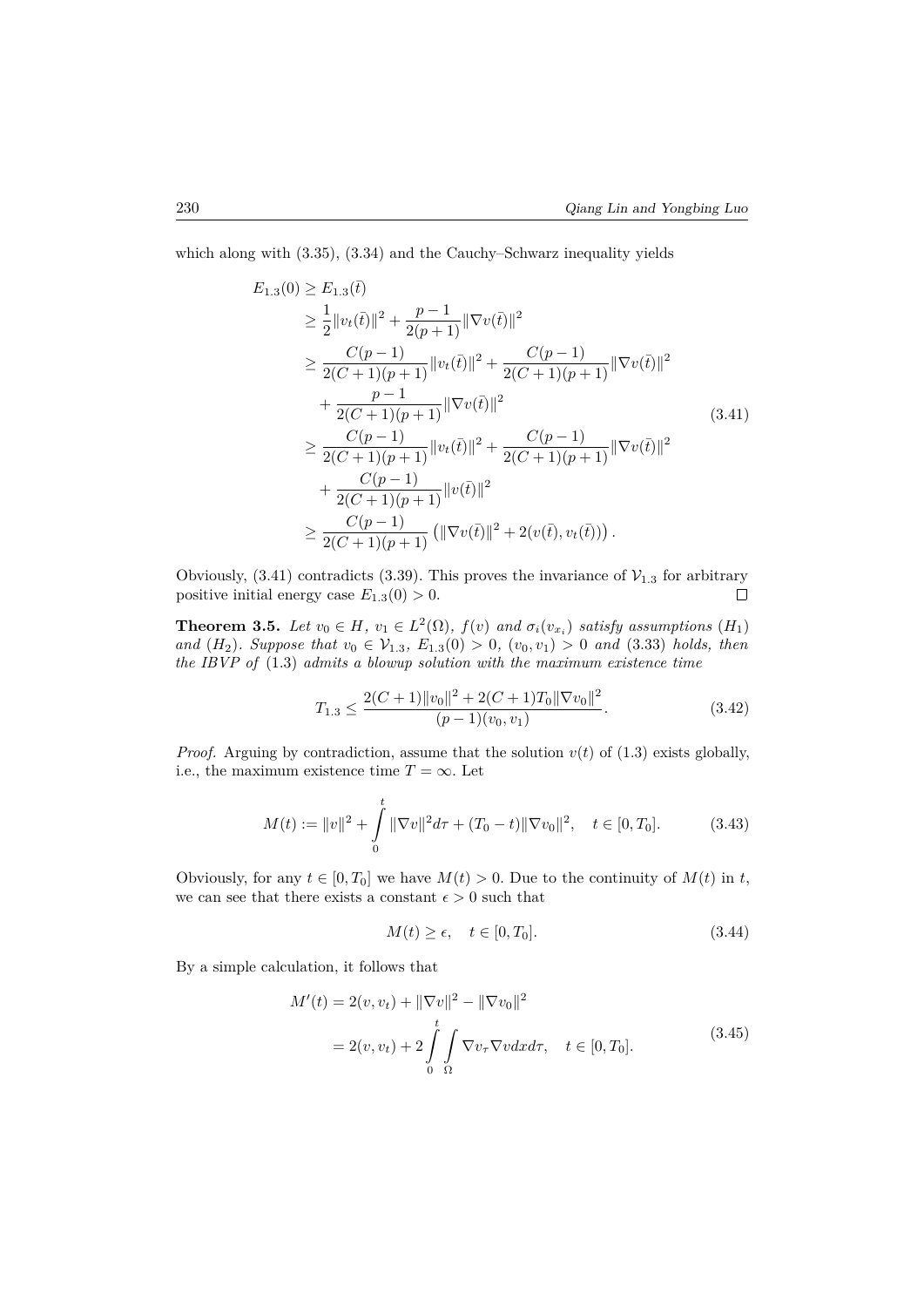which along with (3.35), (3.34) and the Cauchy–Schwarz inequality yields

$$
E_{1.3}(0) \geq E_{1.3}(\bar{t})
$$
  
\n
$$
\geq \frac{1}{2} ||v_t(\bar{t})||^2 + \frac{p-1}{2(p+1)} ||\nabla v(\bar{t})||^2
$$
  
\n
$$
\geq \frac{C(p-1)}{2(C+1)(p+1)} ||v_t(\bar{t})||^2 + \frac{C(p-1)}{2(C+1)(p+1)} ||\nabla v(\bar{t})||^2
$$
  
\n
$$
+ \frac{p-1}{2(C+1)(p+1)} ||\nabla v(\bar{t})||^2
$$
  
\n
$$
\geq \frac{C(p-1)}{2(C+1)(p+1)} ||v_t(\bar{t})||^2 + \frac{C(p-1)}{2(C+1)(p+1)} ||\nabla v(\bar{t})||^2
$$
  
\n
$$
+ \frac{C(p-1)}{2(C+1)(p+1)} ||v(\bar{t})||^2
$$
  
\n
$$
\geq \frac{C(p-1)}{2(C+1)(p+1)} (||\nabla v(\bar{t})||^2 + 2(v(\bar{t}), v_t(\bar{t}))).
$$
\n(11)

Obviously, (3.41) contradicts (3.39). This proves the invariance of  $V_{1,3}$  for arbitrary positive initial energy case  $E_{1,3}(0) > 0$ . positive initial energy case  $E_{1.3}(0) > 0$ .

**Theorem 3.5.** *Let*  $v_0 \in H$ *,*  $v_1 \in L^2(\Omega)$ *,*  $f(v)$  *and*  $\sigma_i(v_{x_i})$  *satisfy assumptions*  $(H_1)$ *and*  $(H_2)$ *. Suppose that*  $v_0 \in V_{1,3}$ *,*  $E_{1,3}(0) > 0$ *,*  $(v_0, v_1) > 0$  *and* (3.33) *holds, then the IBVP of* (1.3) *admits a blowup solution with the maximum existence time*

$$
T_{1.3} \le \frac{2(C+1)\|v_0\|^2 + 2(C+1)T_0\|\nabla v_0\|^2}{(p-1)(v_0, v_1)}.
$$
\n(3.42)

*Proof.* Arguing by contradiction, assume that the solution  $v(t)$  of (1.3) exists globally, i.e., the maximum existence time  $T = \infty$ . Let

$$
M(t) := ||v||^2 + \int_0^t ||\nabla v||^2 d\tau + (T_0 - t) ||\nabla v_0||^2, \quad t \in [0, T_0].
$$
 (3.43)

Obviously, for any  $t \in [0, T_0]$  we have  $M(t) > 0$ . Due to the continuity of  $M(t)$  in  $t$ , we can see that there exists a constant  $\epsilon > 0$  such that

$$
M(t) \ge \epsilon, \quad t \in [0, T_0]. \tag{3.44}
$$

By a simple calculation, it follows that

$$
M'(t) = 2(v, v_t) + ||\nabla v||^2 - ||\nabla v_0||^2
$$
  
= 2(v, v\_t) + 2  $\int_0^t \int_{\Omega} \nabla v_\tau \nabla v dx d\tau$ ,  $t \in [0, T_0].$  (3.45)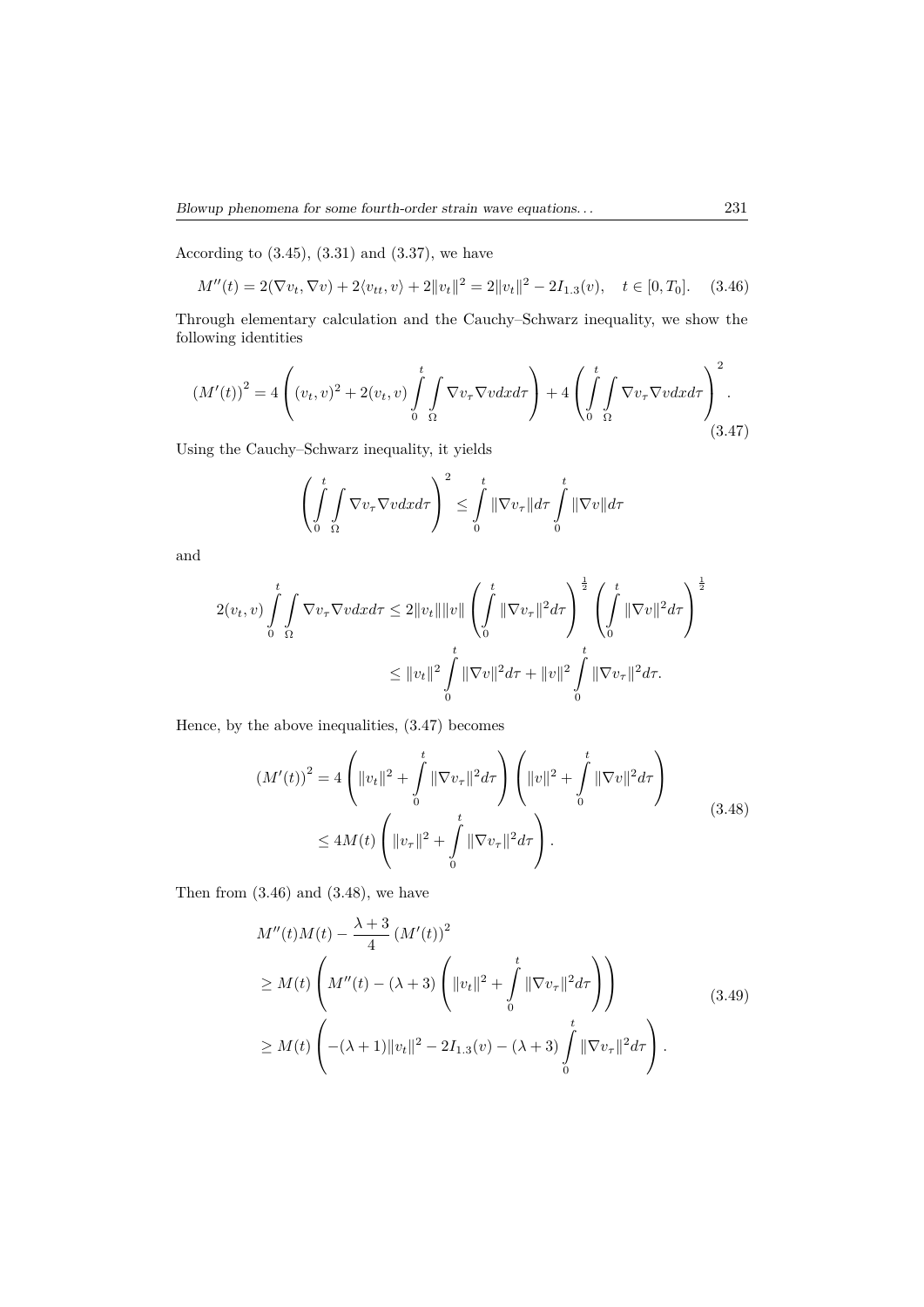According to  $(3.45)$ ,  $(3.31)$  and  $(3.37)$ , we have

$$
M''(t) = 2(\nabla v_t, \nabla v) + 2\langle v_{tt}, v \rangle + 2\|v_t\|^2 = 2\|v_t\|^2 - 2I_{1,3}(v), \quad t \in [0, T_0]. \tag{3.46}
$$

Through elementary calculation and the Cauchy–Schwarz inequality, we show the following identities

$$
\left(M'(t)\right)^2 = 4\left((v_t, v)^2 + 2(v_t, v)\int\limits_0^t \int\limits_{\Omega} \nabla v_\tau \nabla v dx d\tau\right) + 4\left(\int\limits_0^t \int\limits_{\Omega} \nabla v_\tau \nabla v dx d\tau\right)^2.
$$
\n(3.47)

Using the Cauchy–Schwarz inequality, it yields

$$
\left(\int_{0}^{t} \int_{\Omega} \nabla v_{\tau} \nabla v dx d\tau\right)^{2} \leq \int_{0}^{t} \|\nabla v_{\tau}\| d\tau \int_{0}^{t} \|\nabla v\| d\tau
$$

and

$$
2(v_t, v) \int_{0}^{t} \int_{\Omega} \nabla v_{\tau} \nabla v dx d\tau \leq 2||v_t|| ||v|| \left( \int_{0}^{t} ||\nabla v_{\tau}||^2 d\tau \right)^{\frac{1}{2}} \left( \int_{0}^{t} ||\nabla v||^2 d\tau \right)^{\frac{1}{2}}
$$
  

$$
\leq ||v_t||^2 \int_{0}^{t} ||\nabla v||^2 d\tau + ||v||^2 \int_{0}^{t} ||\nabla v_{\tau}||^2 d\tau.
$$

Hence, by the above inequalities, (3.47) becomes

$$
(M'(t))^{2} = 4\left(\|v_{t}\|^{2} + \int_{0}^{t} \|\nabla v_{\tau}\|^{2} d\tau\right) \left(\|v\|^{2} + \int_{0}^{t} \|\nabla v\|^{2} d\tau\right)
$$
  

$$
\leq 4M(t)\left(\|v_{\tau}\|^{2} + \int_{0}^{t} \|\nabla v_{\tau}\|^{2} d\tau\right).
$$
 (3.48)

Then from  $(3.46)$  and  $(3.48)$ , we have

$$
M''(t)M(t) - \frac{\lambda + 3}{4} (M'(t))^2
$$
  
\n
$$
\geq M(t) \left( M''(t) - (\lambda + 3) \left( ||v_t||^2 + \int_0^t ||\nabla v_\tau||^2 d\tau \right) \right)
$$
  
\n
$$
\geq M(t) \left( -(\lambda + 1) ||v_t||^2 - 2I_{1,3}(v) - (\lambda + 3) \int_0^t ||\nabla v_\tau||^2 d\tau \right).
$$
\n(3.49)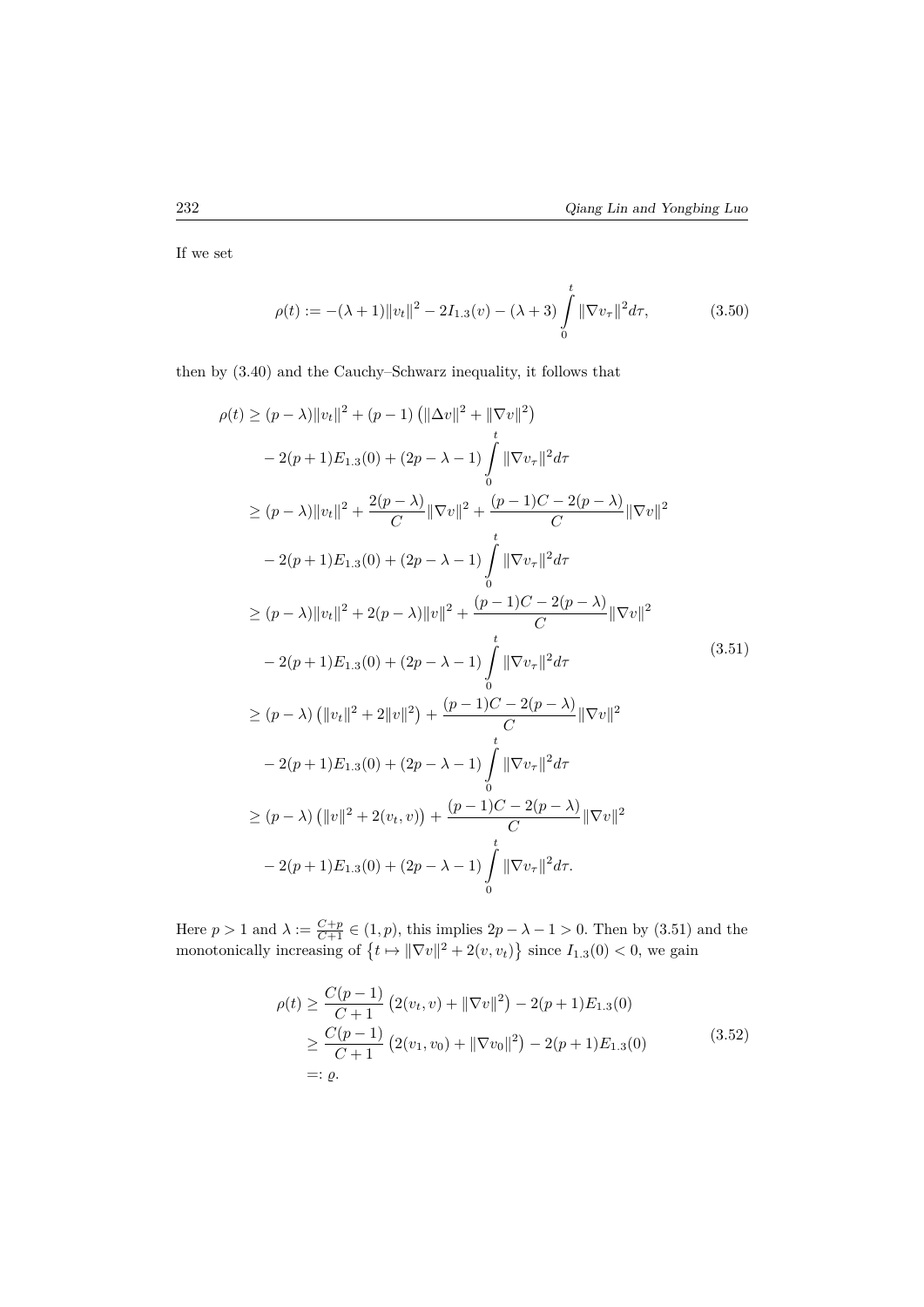If we set

$$
\rho(t) := -(\lambda + 1) \|v_t\|^2 - 2I_{1.3}(v) - (\lambda + 3) \int_0^t \|\nabla v_\tau\|^2 d\tau,
$$
\n(3.50)

then by (3.40) and the Cauchy–Schwarz inequality, it follows that

$$
\rho(t) \ge (p - \lambda) ||v_t||^2 + (p - 1) (||\Delta v||^2 + ||\nabla v||^2)
$$
  
\n
$$
- 2(p + 1)E_{1,3}(0) + (2p - \lambda - 1) \int_0^t ||\nabla v_\tau||^2 d\tau
$$
  
\n
$$
\ge (p - \lambda) ||v_t||^2 + \frac{2(p - \lambda)}{C} ||\nabla v||^2 + \frac{(p - 1)C - 2(p - \lambda)}{C} ||\nabla v||^2
$$
  
\n
$$
- 2(p + 1)E_{1,3}(0) + (2p - \lambda - 1) \int_0^t ||\nabla v_\tau||^2 d\tau
$$
  
\n
$$
\ge (p - \lambda) ||v_t||^2 + 2(p - \lambda) ||v||^2 + \frac{(p - 1)C - 2(p - \lambda)}{C} ||\nabla v||^2
$$
  
\n
$$
- 2(p + 1)E_{1,3}(0) + (2p - \lambda - 1) \int_0^t ||\nabla v_\tau||^2 d\tau
$$
  
\n
$$
\ge (p - \lambda) (||v_t||^2 + 2||v||^2) + \frac{(p - 1)C - 2(p - \lambda)}{C} ||\nabla v||^2
$$
  
\n
$$
- 2(p + 1)E_{1,3}(0) + (2p - \lambda - 1) \int_0^t ||\nabla v_\tau||^2 d\tau
$$
  
\n
$$
\ge (p - \lambda) (||v||^2 + 2(v_t, v)) + \frac{(p - 1)C - 2(p - \lambda)}{C} ||\nabla v||^2
$$
  
\n
$$
- 2(p + 1)E_{1,3}(0) + (2p - \lambda - 1) \int_0^t ||\nabla v_\tau||^2 d\tau.
$$

Here  $p > 1$  and  $\lambda := \frac{C+p}{C+1} \in (1, p)$ , this implies  $2p - \lambda - 1 > 0$ . Then by (3.51) and the monotonically increasing of  $\{t \mapsto ||\nabla v||^2 + 2(v, v_t)\}$  since  $I_{1,3}(0) < 0$ , we gain

$$
\rho(t) \ge \frac{C(p-1)}{C+1} \left( 2(v_t, v) + ||\nabla v||^2 \right) - 2(p+1) E_{1,3}(0)
$$
  
\n
$$
\ge \frac{C(p-1)}{C+1} \left( 2(v_1, v_0) + ||\nabla v_0||^2 \right) - 2(p+1) E_{1,3}(0)
$$
  
\n=:  $\varrho$ . (3.52)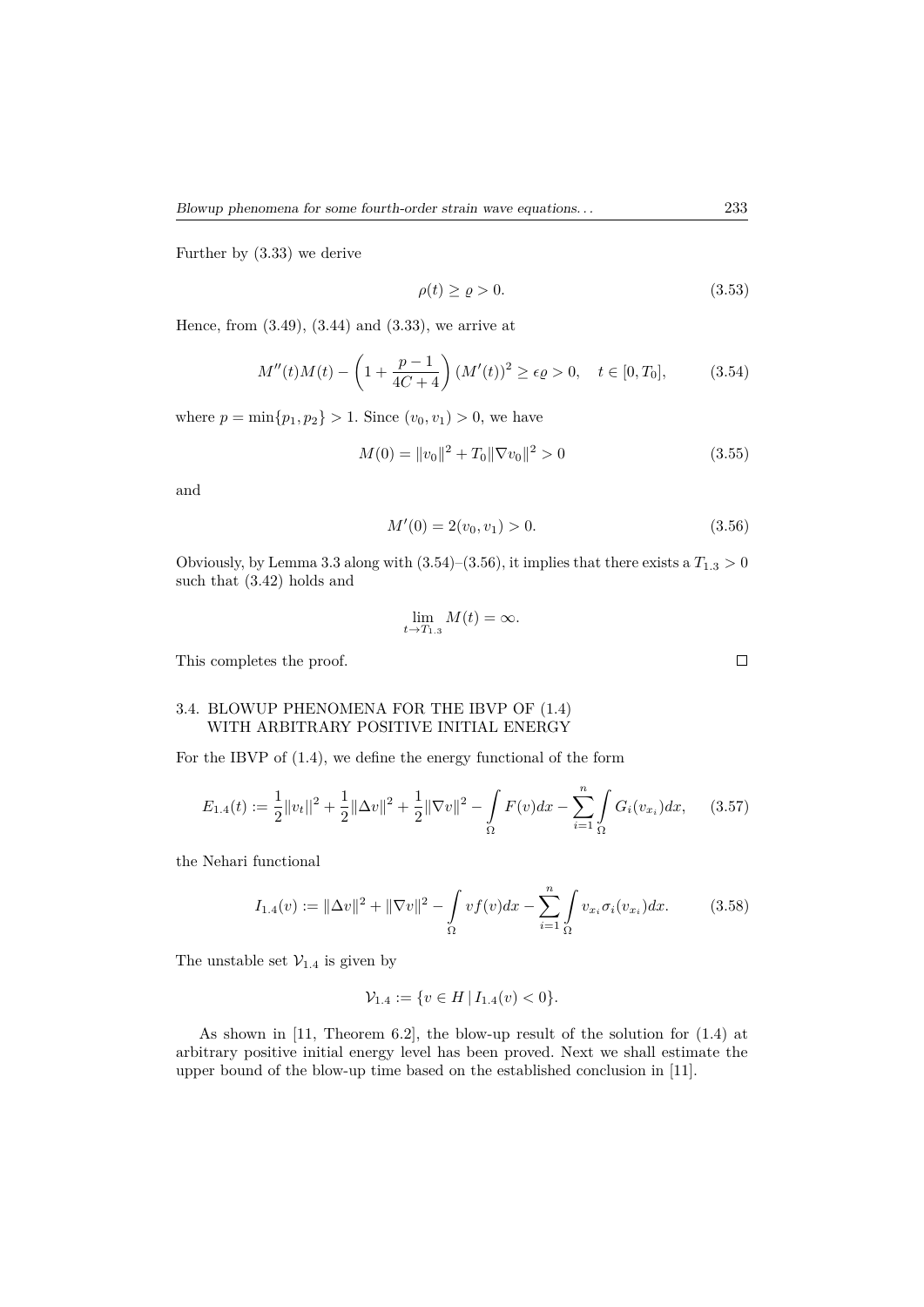Further by (3.33) we derive

$$
\rho(t) \ge \varrho > 0. \tag{3.53}
$$

Hence, from (3.49), (3.44) and (3.33), we arrive at

$$
M''(t)M(t) - \left(1 + \frac{p-1}{4C+4}\right)(M'(t))^2 \ge \epsilon \varrho > 0, \quad t \in [0, T_0], \tag{3.54}
$$

where  $p = \min\{p_1, p_2\} > 1$ . Since  $(v_0, v_1) > 0$ , we have

$$
M(0) = ||v_0||^2 + T_0 ||\nabla v_0||^2 > 0
$$
\n(3.55)

and

$$
M'(0) = 2(v_0, v_1) > 0. \tag{3.56}
$$

Obviously, by Lemma 3.3 along with  $(3.54)$ – $(3.56)$ , it implies that there exists a  $T_{1.3} > 0$ such that (3.42) holds and

$$
\lim_{t \to T_{1.3}} M(t) = \infty.
$$

This completes the proof.

## 3.4. BLOWUP PHENOMENA FOR THE IBVP OF (1.4) WITH ARBITRARY POSITIVE INITIAL ENERGY

For the IBVP of (1.4), we define the energy functional of the form

$$
E_{1.4}(t) := \frac{1}{2} ||v_t||^2 + \frac{1}{2} ||\Delta v||^2 + \frac{1}{2} ||\nabla v||^2 - \int_{\Omega} F(v) dx - \sum_{i=1}^{n} \int_{\Omega} G_i(v_{x_i}) dx, \quad (3.57)
$$

the Nehari functional

$$
I_{1.4}(v) := \|\Delta v\|^2 + \|\nabla v\|^2 - \int_{\Omega} v f(v) dx - \sum_{i=1}^{n} \int_{\Omega} v_{xi} \sigma_i(v_{xi}) dx.
$$
 (3.58)

The unstable set  $\mathcal{V}_{1,4}$  is given by

$$
\mathcal{V}_{1.4} := \{ v \in H \, | \, I_{1.4}(v) < 0 \}.
$$

As shown in [11, Theorem 6.2], the blow-up result of the solution for (1.4) at arbitrary positive initial energy level has been proved. Next we shall estimate the upper bound of the blow-up time based on the established conclusion in [11].

 $\Box$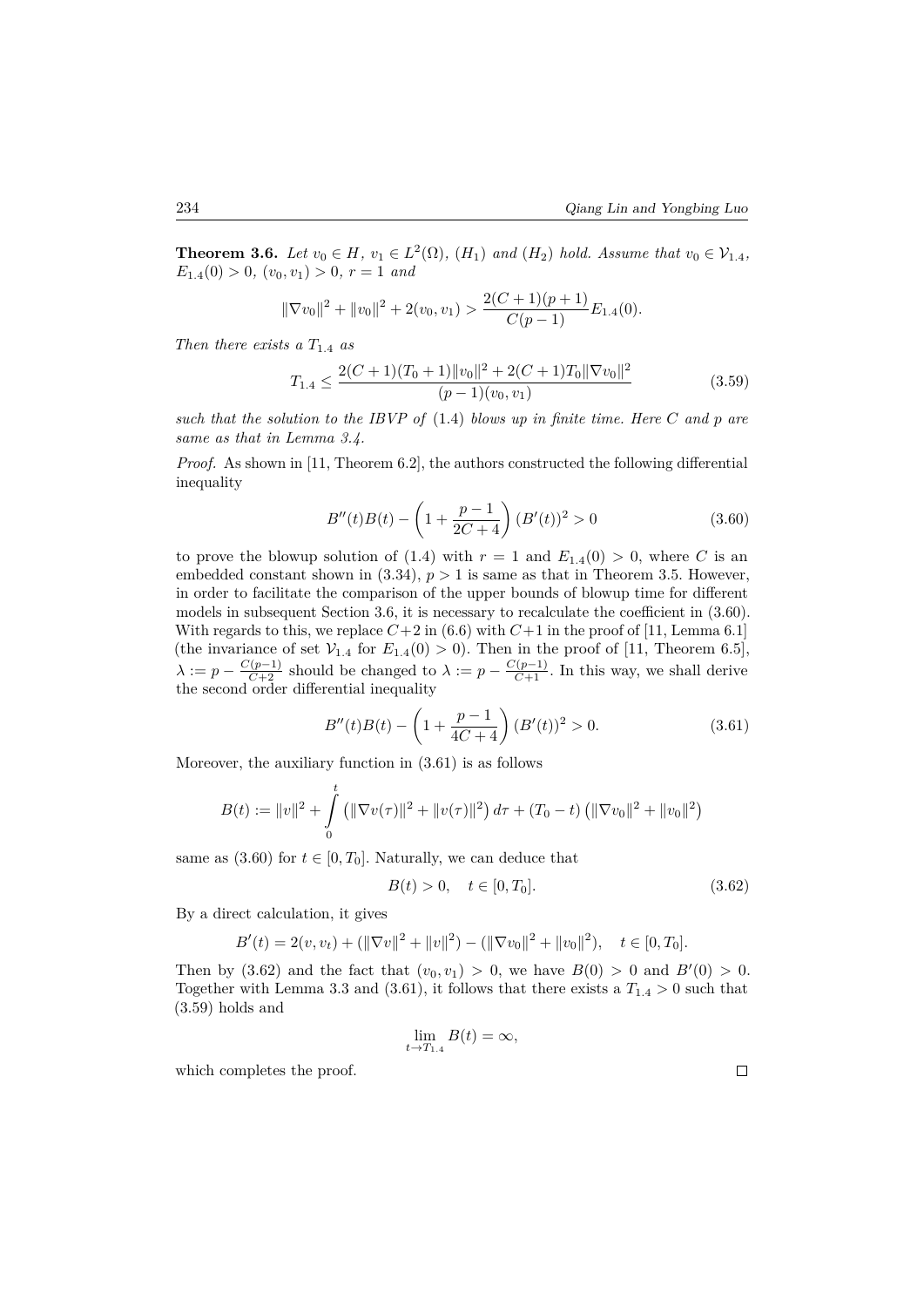**Theorem 3.6.** *Let*  $v_0 \in H$ *,*  $v_1 \in L^2(\Omega)$ *,*  $(H_1)$  *and*  $(H_2)$  *hold. Assume that*  $v_0 \in V_{1.4}$ *,*  $E_{1.4}(0) > 0, (v_0, v_1) > 0, r = 1$  *and* 

$$
\|\nabla v_0\|^2 + \|v_0\|^2 + 2(v_0, v_1) > \frac{2(C+1)(p+1)}{C(p-1)} E_{1.4}(0).
$$

*Then there exists a T*1*.*<sup>4</sup> *as*

$$
T_{1.4} \le \frac{2(C+1)(T_0+1)\|v_0\|^2 + 2(C+1)T_0\|\nabla v_0\|^2}{(p-1)(v_0, v_1)}
$$
(3.59)

*such that the solution to the IBVP of* (1.4) *blows up in finite time. Here C and p are same as that in Lemma 3.4.*

*Proof.* As shown in [11, Theorem 6.2], the authors constructed the following differential inequality

$$
B''(t)B(t) - \left(1 + \frac{p-1}{2C+4}\right)(B'(t))^2 > 0\tag{3.60}
$$

to prove the blowup solution of (1.4) with  $r = 1$  and  $E_{1.4}(0) > 0$ , where C is an embedded constant shown in  $(3.34)$ ,  $p > 1$  is same as that in Theorem 3.5. However, in order to facilitate the comparison of the upper bounds of blowup time for different models in subsequent Section 3.6, it is necessary to recalculate the coefficient in (3.60). With regards to this, we replace  $C+2$  in (6.6) with  $C+1$  in the proof of [11, Lemma 6.1] (the invariance of set  $V_{1.4}$  for  $E_{1.4}(0) > 0$ ). Then in the proof of [11, Theorem 6.5],  $\lambda := p - \frac{C(p-1)}{C+2}$  should be changed to  $\lambda := p - \frac{C(p-1)}{C+1}$ . In this way, we shall derive the second order differential inequality

$$
B''(t)B(t) - \left(1 + \frac{p-1}{4C+4}\right)(B'(t))^2 > 0.
$$
\n(3.61)

Moreover, the auxiliary function in (3.61) is as follows

$$
B(t) := ||v||^2 + \int_0^t (||\nabla v(\tau)||^2 + ||v(\tau)||^2) d\tau + (T_0 - t) (||\nabla v_0||^2 + ||v_0||^2)
$$

same as  $(3.60)$  for  $t \in [0, T_0]$ . Naturally, we can deduce that

$$
B(t) > 0, \quad t \in [0, T_0].
$$
\n(3.62)

By a direct calculation, it gives

$$
B'(t) = 2(v, v_t) + (\|\nabla v\|^2 + \|v\|^2) - (\|\nabla v_0\|^2 + \|v_0\|^2), \quad t \in [0, T_0].
$$

Then by  $(3.62)$  and the fact that  $(v_0, v_1) > 0$ , we have  $B(0) > 0$  and  $B'(0) > 0$ . Together with Lemma 3.3 and (3.61), it follows that there exists a  $T_{1,4} > 0$  such that (3.59) holds and

$$
\lim_{t \to T_{1.4}} B(t) = \infty,
$$

which completes the proof.

 $\Box$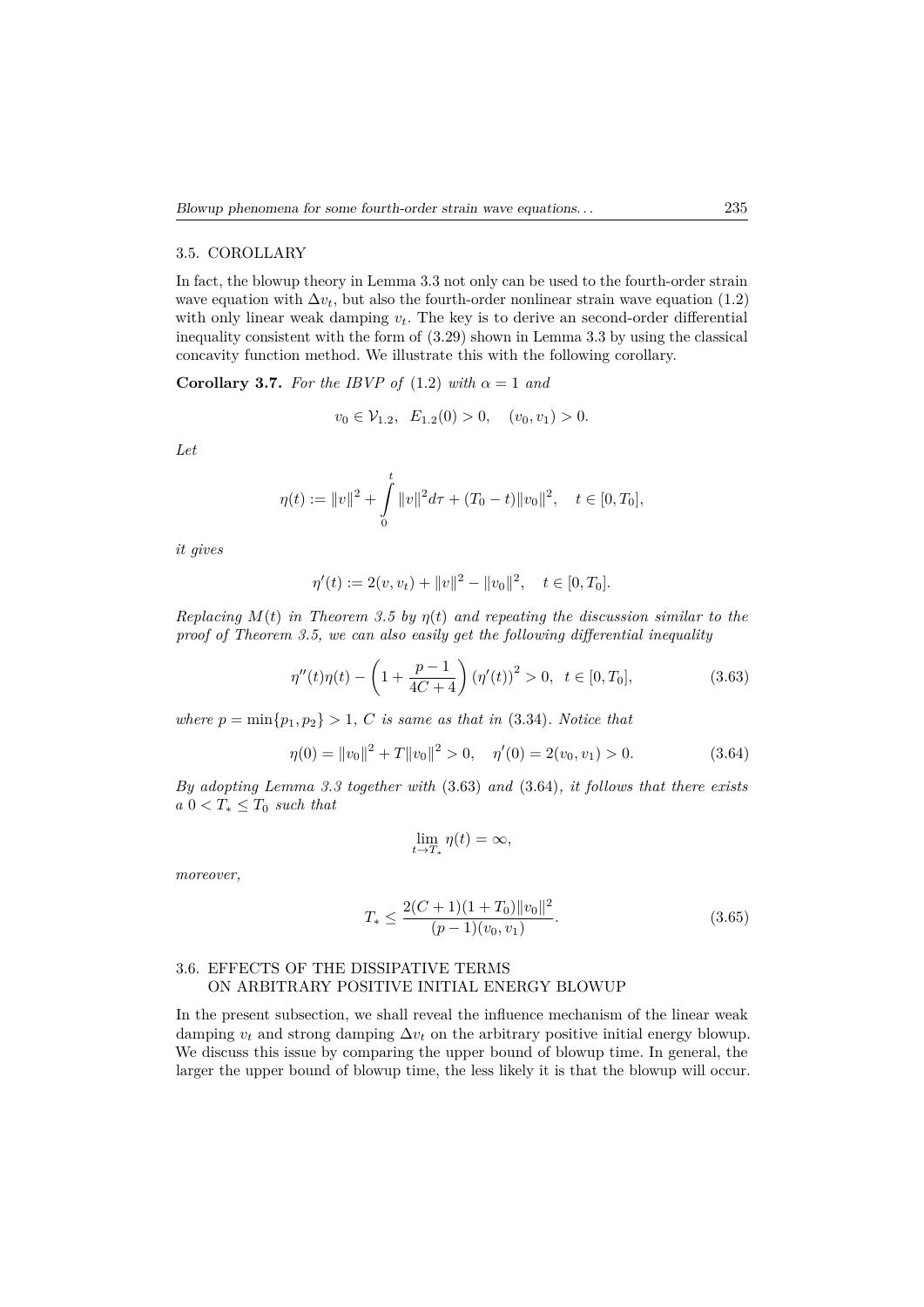#### 3.5. COROLLARY

In fact, the blowup theory in Lemma 3.3 not only can be used to the fourth-order strain wave equation with  $\Delta v_t$ , but also the fourth-order nonlinear strain wave equation (1.2) with only linear weak damping *vt*. The key is to derive an second-order differential inequality consistent with the form of (3.29) shown in Lemma 3.3 by using the classical concavity function method. We illustrate this with the following corollary.

**Corollary 3.7.** *For the IBVP of*  $(1.2)$  *with*  $\alpha = 1$  *and* 

$$
v_0 \in \mathcal{V}_{1.2}, \ E_{1.2}(0) > 0, \ (v_0, v_1) > 0.
$$

*Let*

$$
\eta(t) := \|v\|^2 + \int_0^t \|v\|^2 d\tau + (T_0 - t) \|v_0\|^2, \quad t \in [0, T_0],
$$

*it gives*

$$
\eta'(t) := 2(v, v_t) + ||v||^2 - ||v_0||^2, \quad t \in [0, T_0].
$$

*Replacing M*(*t*) *in Theorem 3.5 by η*(*t*) *and repeating the discussion similar to the proof of Theorem 3.5, we can also easily get the following differential inequality*

$$
\eta''(t)\eta(t) - \left(1 + \frac{p-1}{4C+4}\right) (\eta'(t))^2 > 0, \ \ t \in [0, T_0],\tag{3.63}
$$

*where*  $p = \min\{p_1, p_2\} > 1$ , *C is same as that in* (3.34)*. Notice that* 

$$
\eta(0) = ||v_0||^2 + T||v_0||^2 > 0, \quad \eta'(0) = 2(v_0, v_1) > 0.
$$
\n(3.64)

*By adopting Lemma 3.3 together with* (3.63) *and* (3.64)*, it follows that there exists*  $a \ 0 < T_* \leq T_0$  *such that* 

$$
\lim_{t \to T_*} \eta(t) = \infty,
$$

*moreover,*

$$
T_* \le \frac{2(C+1)(1+T_0)\|v_0\|^2}{(p-1)(v_0, v_1)}.\tag{3.65}
$$

## 3.6. EFFECTS OF THE DISSIPATIVE TERMS ON ARBITRARY POSITIVE INITIAL ENERGY BLOWUP

In the present subsection, we shall reveal the influence mechanism of the linear weak damping  $v_t$  and strong damping  $\Delta v_t$  on the arbitrary positive initial energy blowup. We discuss this issue by comparing the upper bound of blowup time. In general, the larger the upper bound of blowup time, the less likely it is that the blowup will occur.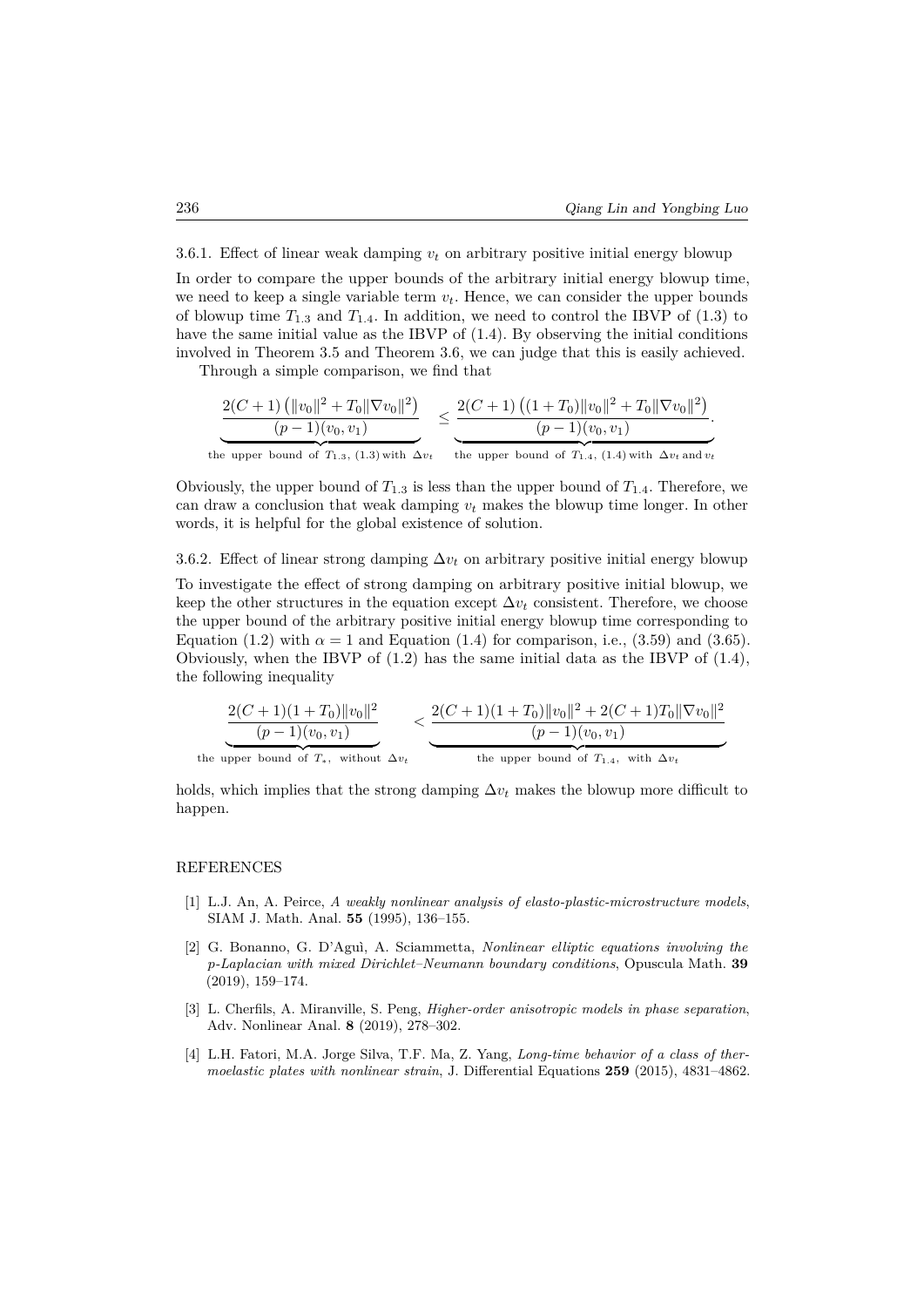3.6.1. Effect of linear weak damping  $v_t$  on arbitrary positive initial energy blowup

In order to compare the upper bounds of the arbitrary initial energy blowup time, we need to keep a single variable term  $v_t$ . Hence, we can consider the upper bounds of blowup time  $T_{1,3}$  and  $T_{1,4}$ . In addition, we need to control the IBVP of (1.3) to have the same initial value as the IBVP of (1.4). By observing the initial conditions involved in Theorem 3.5 and Theorem 3.6, we can judge that this is easily achieved.

Through a simple comparison, we find that

$$
\frac{2(C+1) \left( \|v_0\|^2 + T_0 \|\nabla v_0\|^2 \right)}{(p-1)(v_0, v_1)} \leq \frac{2(C+1) \left( (1+T_0) \|v_0\|^2 + T_0 \|\nabla v_0\|^2 \right)}{(p-1)(v_0, v_1)}.
$$
  
the upper bound of  $T_{1.3}$ , (1.3) with  $\Delta v_t$  the upper bound of  $T_{1.4}$ , (1.4) with  $\Delta v_t$  and  $v_t$ 

Obviously, the upper bound of  $T_{1,3}$  is less than the upper bound of  $T_{1,4}$ . Therefore, we can draw a conclusion that weak damping  $v_t$  makes the blowup time longer. In other words, it is helpful for the global existence of solution.

3.6.2. Effect of linear strong damping  $\Delta v_t$  on arbitrary positive initial energy blowup To investigate the effect of strong damping on arbitrary positive initial blowup, we keep the other structures in the equation except  $\Delta v_t$  consistent. Therefore, we choose the upper bound of the arbitrary positive initial energy blowup time corresponding to Equation (1.2) with  $\alpha = 1$  and Equation (1.4) for comparison, i.e., (3.59) and (3.65). Obviously, when the IBVP of  $(1.2)$  has the same initial data as the IBVP of  $(1.4)$ , the following inequality

$$
\underbrace{\frac{2(C+1)(1+T_0)\|v_0\|^2}{(p-1)(v_0, v_1)}}_{\text{the upper bound of } T_*, \text{ without } \Delta v_t} < \underbrace{\frac{2(C+1)(1+T_0)\|v_0\|^2 + 2(C+1)T_0\|\nabla v_0\|^2}{(p-1)(v_0, v_1)}}_{\text{the upper bound of } T_{1.4}, \text{ with } \Delta v_t}
$$

holds, which implies that the strong damping  $\Delta v_t$  makes the blowup more difficult to happen.

#### REFERENCES

- [1] L.J. An, A. Peirce, *A weakly nonlinear analysis of elasto-plastic-microstructure models*, SIAM J. Math. Anal. **55** (1995), 136–155.
- [2] G. Bonanno, G. D'Aguì, A. Sciammetta, *Nonlinear elliptic equations involving the p-Laplacian with mixed Dirichlet–Neumann boundary conditions*, Opuscula Math. **39** (2019), 159–174.
- [3] L. Cherfils, A. Miranville, S. Peng, *Higher-order anisotropic models in phase separation*, Adv. Nonlinear Anal. **8** (2019), 278–302.
- [4] L.H. Fatori, M.A. Jorge Silva, T.F. Ma, Z. Yang, *Long-time behavior of a class of thermoelastic plates with nonlinear strain*, J. Differential Equations **259** (2015), 4831–4862.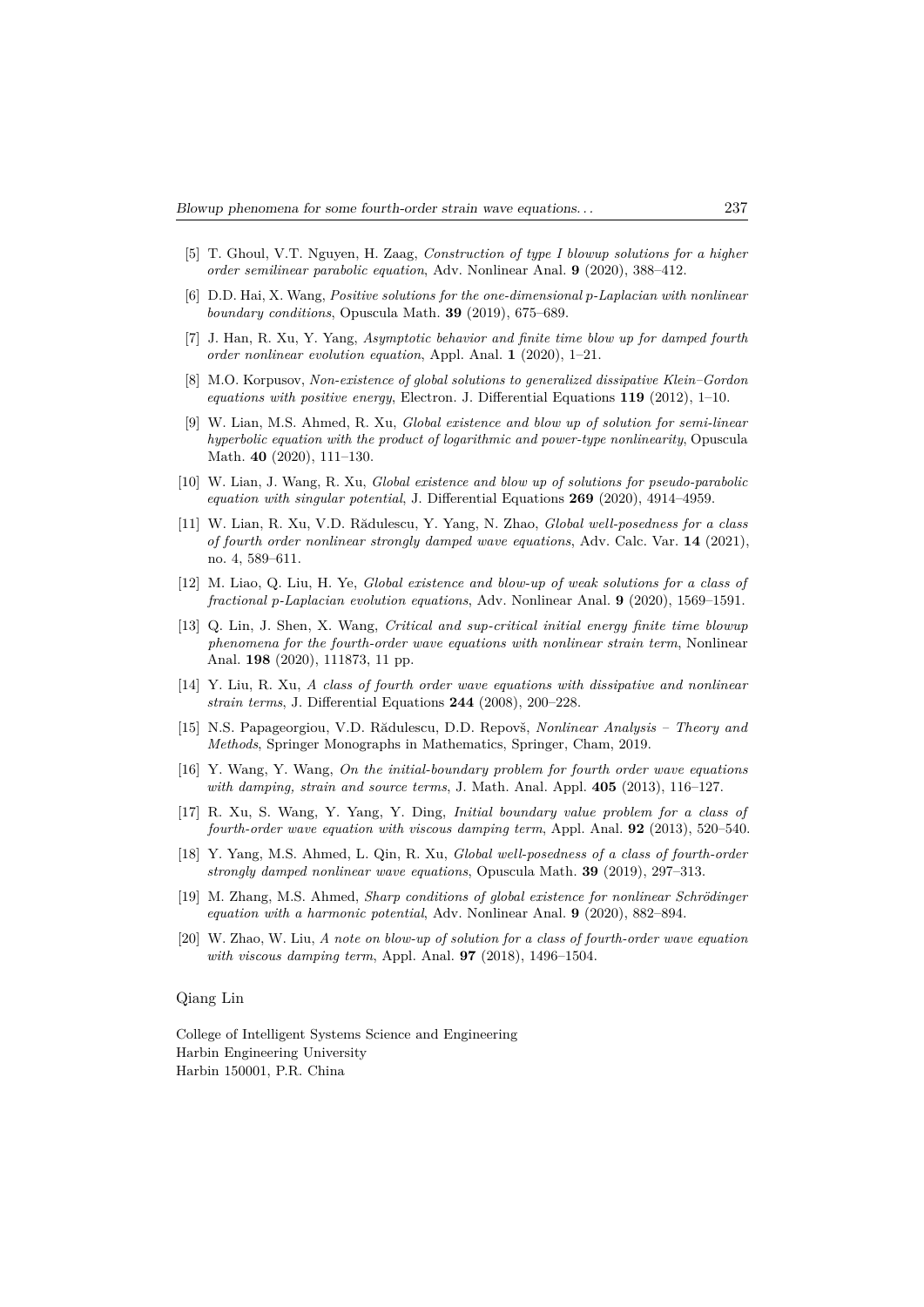- [5] T. Ghoul, V.T. Nguyen, H. Zaag, *Construction of type I blowup solutions for a higher order semilinear parabolic equation*, Adv. Nonlinear Anal. **9** (2020), 388–412.
- [6] D.D. Hai, X. Wang, *Positive solutions for the one-dimensional p-Laplacian with nonlinear boundary conditions*, Opuscula Math. **39** (2019), 675–689.
- [7] J. Han, R. Xu, Y. Yang, *Asymptotic behavior and finite time blow up for damped fourth order nonlinear evolution equation*, Appl. Anal. **1** (2020), 1–21.
- [8] M.O. Korpusov, *Non-existence of global solutions to generalized dissipative Klein–Gordon equations with positive energy*, Electron. J. Differential Equations **119** (2012), 1–10.
- [9] W. Lian, M.S. Ahmed, R. Xu, *Global existence and blow up of solution for semi-linear hyperbolic equation with the product of logarithmic and power-type nonlinearity*, Opuscula Math. **40** (2020), 111–130.
- [10] W. Lian, J. Wang, R. Xu, *Global existence and blow up of solutions for pseudo-parabolic equation with singular potential*, J. Differential Equations **269** (2020), 4914–4959.
- [11] W. Lian, R. Xu, V.D. Rădulescu, Y. Yang, N. Zhao, *Global well-posedness for a class of fourth order nonlinear strongly damped wave equations*, Adv. Calc. Var. **14** (2021), no. 4, 589–611.
- [12] M. Liao, Q. Liu, H. Ye, *Global existence and blow-up of weak solutions for a class of fractional p-Laplacian evolution equations*, Adv. Nonlinear Anal. **9** (2020), 1569–1591.
- [13] Q. Lin, J. Shen, X. Wang, *Critical and sup-critical initial energy finite time blowup phenomena for the fourth-order wave equations with nonlinear strain term*, Nonlinear Anal. **198** (2020), 111873, 11 pp.
- [14] Y. Liu, R. Xu, *A class of fourth order wave equations with dissipative and nonlinear strain terms*, J. Differential Equations **244** (2008), 200–228.
- [15] N.S. Papageorgiou, V.D. Rădulescu, D.D. Repovš, *Nonlinear Analysis Theory and Methods*, Springer Monographs in Mathematics, Springer, Cham, 2019.
- [16] Y. Wang, Y. Wang, *On the initial-boundary problem for fourth order wave equations with damping, strain and source terms*, J. Math. Anal. Appl. **405** (2013), 116–127.
- [17] R. Xu, S. Wang, Y. Yang, Y. Ding, *Initial boundary value problem for a class of fourth-order wave equation with viscous damping term*, Appl. Anal. **92** (2013), 520–540.
- [18] Y. Yang, M.S. Ahmed, L. Qin, R. Xu, *Global well-posedness of a class of fourth-order strongly damped nonlinear wave equations*, Opuscula Math. **39** (2019), 297–313.
- [19] M. Zhang, M.S. Ahmed, *Sharp conditions of global existence for nonlinear Schrödinger equation with a harmonic potential*, Adv. Nonlinear Anal. **9** (2020), 882–894.
- [20] W. Zhao, W. Liu, *A note on blow-up of solution for a class of fourth-order wave equation with viscous damping term*, Appl. Anal. **97** (2018), 1496–1504.

#### Qiang Lin

College of Intelligent Systems Science and Engineering Harbin Engineering University Harbin 150001, P.R. China